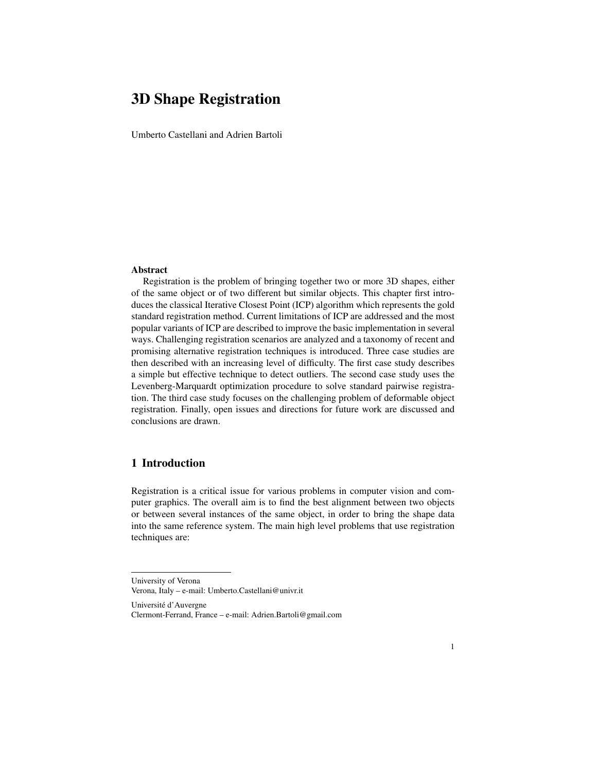Umberto Castellani and Adrien Bartoli

### Abstract

Registration is the problem of bringing together two or more 3D shapes, either of the same object or of two different but similar objects. This chapter first introduces the classical Iterative Closest Point (ICP) algorithm which represents the gold standard registration method. Current limitations of ICP are addressed and the most popular variants of ICP are described to improve the basic implementation in several ways. Challenging registration scenarios are analyzed and a taxonomy of recent and promising alternative registration techniques is introduced. Three case studies are then described with an increasing level of difficulty. The first case study describes a simple but effective technique to detect outliers. The second case study uses the Levenberg-Marquardt optimization procedure to solve standard pairwise registration. The third case study focuses on the challenging problem of deformable object registration. Finally, open issues and directions for future work are discussed and conclusions are drawn.

## 1 Introduction

Registration is a critical issue for various problems in computer vision and computer graphics. The overall aim is to find the best alignment between two objects or between several instances of the same object, in order to bring the shape data into the same reference system. The main high level problems that use registration techniques are:

University of Verona Verona, Italy – e-mail: Umberto.Castellani@univr.it

Université d'Auvergne Clermont-Ferrand, France – e-mail: Adrien.Bartoli@gmail.com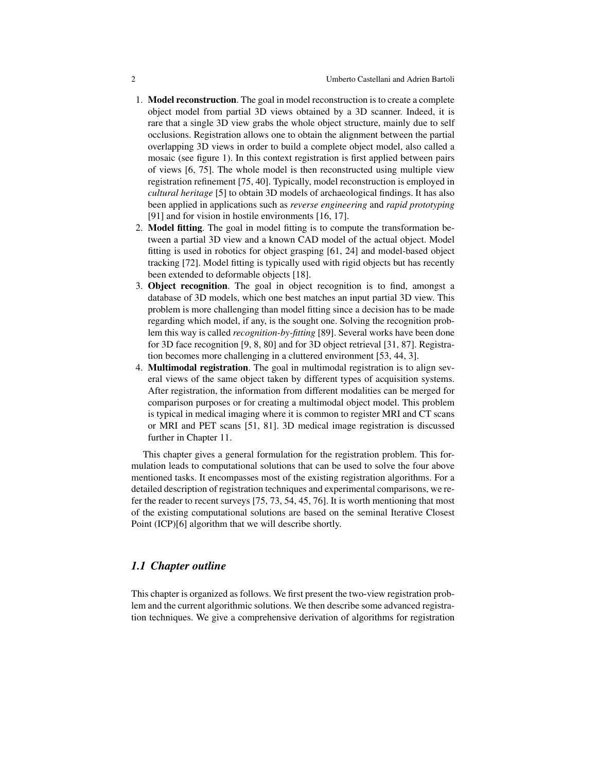- 1. Model reconstruction. The goal in model reconstruction is to create a complete object model from partial 3D views obtained by a 3D scanner. Indeed, it is rare that a single 3D view grabs the whole object structure, mainly due to self occlusions. Registration allows one to obtain the alignment between the partial overlapping 3D views in order to build a complete object model, also called a mosaic (see figure 1). In this context registration is first applied between pairs of views [6, 75]. The whole model is then reconstructed using multiple view registration refinement [75, 40]. Typically, model reconstruction is employed in *cultural heritage* [5] to obtain 3D models of archaeological findings. It has also been applied in applications such as *reverse engineering* and *rapid prototyping* [91] and for vision in hostile environments [16, 17].
- 2. Model fitting. The goal in model fitting is to compute the transformation between a partial 3D view and a known CAD model of the actual object. Model fitting is used in robotics for object grasping [61, 24] and model-based object tracking [72]. Model fitting is typically used with rigid objects but has recently been extended to deformable objects [18].
- 3. Object recognition. The goal in object recognition is to find, amongst a database of 3D models, which one best matches an input partial 3D view. This problem is more challenging than model fitting since a decision has to be made regarding which model, if any, is the sought one. Solving the recognition problem this way is called *recognition-by-fitting* [89]. Several works have been done for 3D face recognition [9, 8, 80] and for 3D object retrieval [31, 87]. Registration becomes more challenging in a cluttered environment [53, 44, 3].
- 4. Multimodal registration. The goal in multimodal registration is to align several views of the same object taken by different types of acquisition systems. After registration, the information from different modalities can be merged for comparison purposes or for creating a multimodal object model. This problem is typical in medical imaging where it is common to register MRI and CT scans or MRI and PET scans [51, 81]. 3D medical image registration is discussed further in Chapter 11.

This chapter gives a general formulation for the registration problem. This formulation leads to computational solutions that can be used to solve the four above mentioned tasks. It encompasses most of the existing registration algorithms. For a detailed description of registration techniques and experimental comparisons, we refer the reader to recent surveys [75, 73, 54, 45, 76]. It is worth mentioning that most of the existing computational solutions are based on the seminal Iterative Closest Point (ICP)[6] algorithm that we will describe shortly.

## *1.1 Chapter outline*

This chapter is organized as follows. We first present the two-view registration problem and the current algorithmic solutions. We then describe some advanced registration techniques. We give a comprehensive derivation of algorithms for registration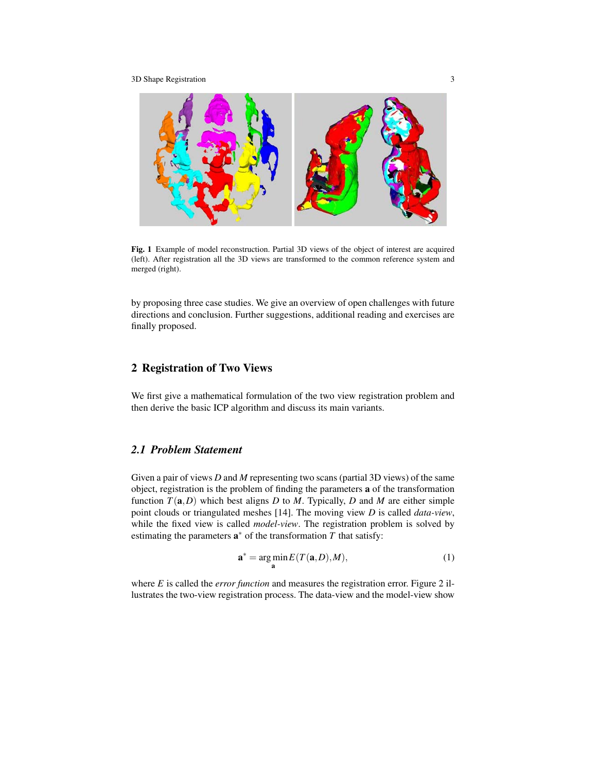

Fig. 1 Example of model reconstruction. Partial 3D views of the object of interest are acquired (left). After registration all the 3D views are transformed to the common reference system and merged (right).

by proposing three case studies. We give an overview of open challenges with future directions and conclusion. Further suggestions, additional reading and exercises are finally proposed.

## 2 Registration of Two Views

We first give a mathematical formulation of the two view registration problem and then derive the basic ICP algorithm and discuss its main variants.

### *2.1 Problem Statement*

Given a pair of views *D* and *M* representing two scans (partial 3D views) of the same object, registration is the problem of finding the parameters a of the transformation function  $T(\mathbf{a}, D)$  which best aligns *D* to *M*. Typically, *D* and *M* are either simple point clouds or triangulated meshes [14]. The moving view *D* is called *data-view*, while the fixed view is called *model-view*. The registration problem is solved by estimating the parameters  $\mathbf{a}^*$  of the transformation  $T$  that satisfy:

$$
\mathbf{a}^* = \underset{\mathbf{a}}{\arg\min} E(T(\mathbf{a}, D), M),\tag{1}
$$

where *E* is called the *error function* and measures the registration error. Figure 2 illustrates the two-view registration process. The data-view and the model-view show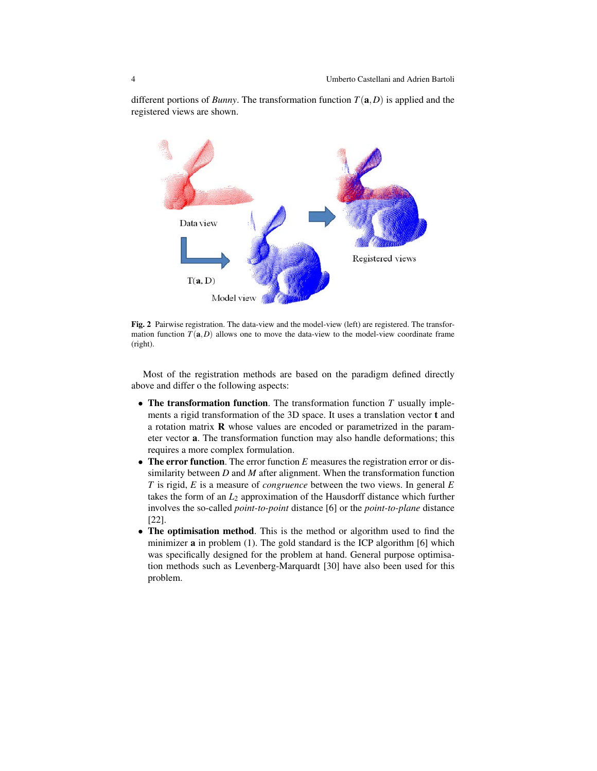different portions of *Bunny*. The transformation function  $T(\mathbf{a}, D)$  is applied and the registered views are shown.



Fig. 2 Pairwise registration. The data-view and the model-view (left) are registered. The transformation function  $T(\mathbf{a}, D)$  allows one to move the data-view to the model-view coordinate frame (right).

Most of the registration methods are based on the paradigm defined directly above and differ o the following aspects:

- The transformation function. The transformation function *T* usually implements a rigid transformation of the 3D space. It uses a translation vector t and a rotation matrix R whose values are encoded or parametrized in the parameter vector a. The transformation function may also handle deformations; this requires a more complex formulation.
- The error function. The error function *E* measures the registration error or dissimilarity between *D* and *M* after alignment. When the transformation function *T* is rigid, *E* is a measure of *congruence* between the two views. In general *E* takes the form of an *L*<sup>2</sup> approximation of the Hausdorff distance which further involves the so-called *point-to-point* distance [6] or the *point-to-plane* distance [22].
- The optimisation method. This is the method or algorithm used to find the minimizer a in problem (1). The gold standard is the ICP algorithm [6] which was specifically designed for the problem at hand. General purpose optimisation methods such as Levenberg-Marquardt [30] have also been used for this problem.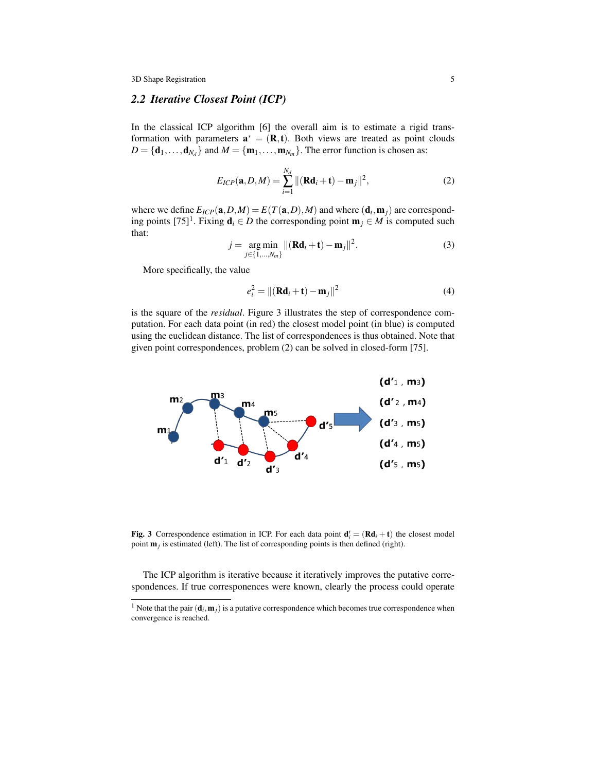### *2.2 Iterative Closest Point (ICP)*

In the classical ICP algorithm [6] the overall aim is to estimate a rigid transformation with parameters  $\mathbf{a}^* = (\mathbf{R}, \mathbf{t})$ . Both views are treated as point clouds  $D = {\bf d}_1, \dots, {\bf d}_{N_d}$  and  $M = {\bf m}_1, \dots, {\bf m}_{N_m}$ . The error function is chosen as:

$$
E_{ICP}(\mathbf{a}, D, M) = \sum_{i=1}^{N_d} ||(\mathbf{R}\mathbf{d}_i + \mathbf{t}) - \mathbf{m}_j||^2,
$$
 (2)

where we define  $E_{ICP}(\mathbf{a}, D, M) = E(T(\mathbf{a}, D), M)$  and where  $(\mathbf{d}_i, \mathbf{m}_j)$  are corresponding points  $[75]^1$ . Fixing  $\mathbf{d}_i \in D$  the corresponding point  $\mathbf{m}_j \in M$  is computed such that:

$$
j = \underset{j \in \{1, ..., N_m\}}{\arg \min} ||(\mathbf{R} \mathbf{d}_i + \mathbf{t}) - \mathbf{m}_j||^2.
$$
 (3)

More specifically, the value

$$
e_i^2 = ||(\mathbf{R} \mathbf{d}_i + \mathbf{t}) - \mathbf{m}_j||^2 \tag{4}
$$

is the square of the *residual*. Figure 3 illustrates the step of correspondence computation. For each data point (in red) the closest model point (in blue) is computed using the euclidean distance. The list of correspondences is thus obtained. Note that given point correspondences, problem (2) can be solved in closed-form [75].



Fig. 3 Correspondence estimation in ICP. For each data point  $\mathbf{d}'_i = (\mathbf{R}\mathbf{d}_i + \mathbf{t})$  the closest model point  $\mathbf{m}_j$  is estimated (left). The list of corresponding points is then defined (right).

The ICP algorithm is iterative because it iteratively improves the putative correspondences. If true corresponences were known, clearly the process could operate

<sup>&</sup>lt;sup>1</sup> Note that the pair  $(d_i, m_j)$  is a putative correspondence which becomes true correspondence when convergence is reached.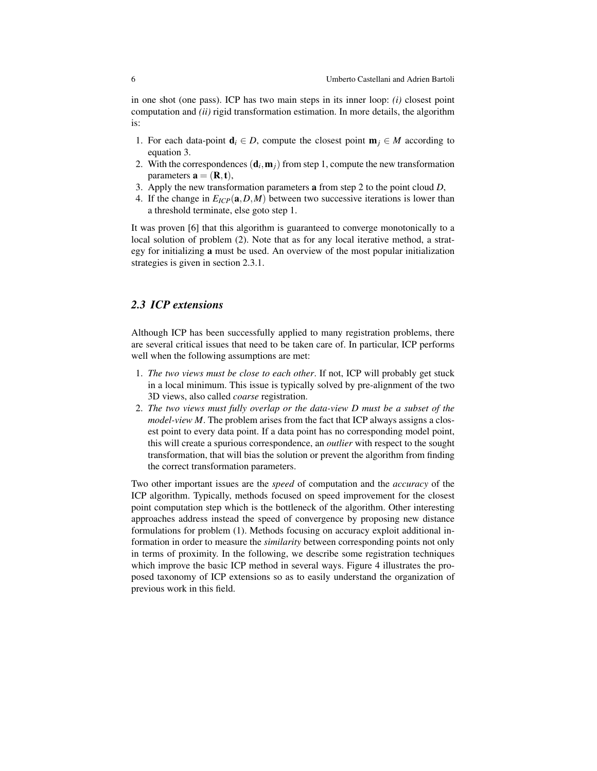in one shot (one pass). ICP has two main steps in its inner loop: *(i)* closest point computation and *(ii)* rigid transformation estimation. In more details, the algorithm is:

- 1. For each data-point  $\mathbf{d}_i \in D$ , compute the closest point  $\mathbf{m}_i \in M$  according to equation 3.
- 2. With the correspondences  $(d_i, m_j)$  from step 1, compute the new transformation parameters  $\mathbf{a} = (\mathbf{R}, \mathbf{t}),$
- 3. Apply the new transformation parameters a from step 2 to the point cloud *D*,
- 4. If the change in  $E_{ICP}(\mathbf{a}, D, M)$  between two successive iterations is lower than a threshold terminate, else goto step 1.

It was proven [6] that this algorithm is guaranteed to converge monotonically to a local solution of problem (2). Note that as for any local iterative method, a strategy for initializing a must be used. An overview of the most popular initialization strategies is given in section 2.3.1.

## *2.3 ICP extensions*

Although ICP has been successfully applied to many registration problems, there are several critical issues that need to be taken care of. In particular, ICP performs well when the following assumptions are met:

- 1. *The two views must be close to each other*. If not, ICP will probably get stuck in a local minimum. This issue is typically solved by pre-alignment of the two 3D views, also called *coarse* registration.
- 2. *The two views must fully overlap or the data-view D must be a subset of the model-view M*. The problem arises from the fact that ICP always assigns a closest point to every data point. If a data point has no corresponding model point, this will create a spurious correspondence, an *outlier* with respect to the sought transformation, that will bias the solution or prevent the algorithm from finding the correct transformation parameters.

Two other important issues are the *speed* of computation and the *accuracy* of the ICP algorithm. Typically, methods focused on speed improvement for the closest point computation step which is the bottleneck of the algorithm. Other interesting approaches address instead the speed of convergence by proposing new distance formulations for problem (1). Methods focusing on accuracy exploit additional information in order to measure the *similarity* between corresponding points not only in terms of proximity. In the following, we describe some registration techniques which improve the basic ICP method in several ways. Figure 4 illustrates the proposed taxonomy of ICP extensions so as to easily understand the organization of previous work in this field.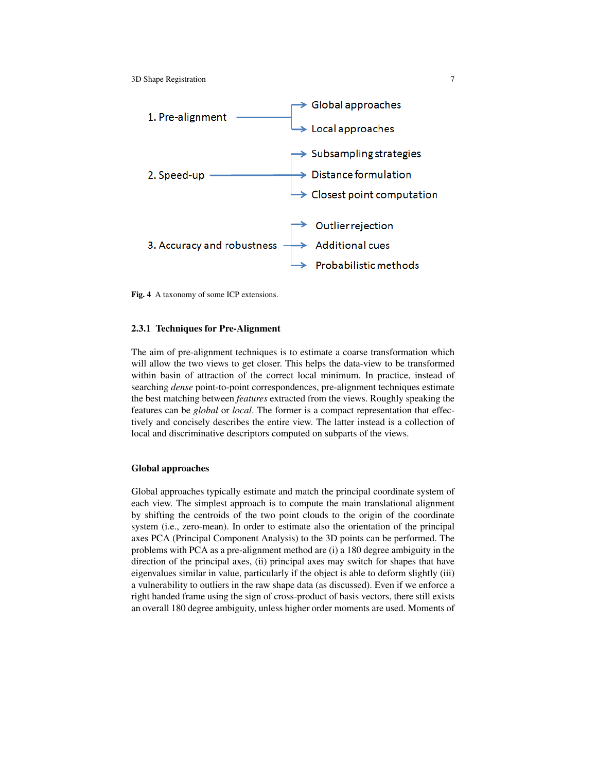

Fig. 4 A taxonomy of some ICP extensions.

### 2.3.1 Techniques for Pre-Alignment

The aim of pre-alignment techniques is to estimate a coarse transformation which will allow the two views to get closer. This helps the data-view to be transformed within basin of attraction of the correct local minimum. In practice, instead of searching *dense* point-to-point correspondences, pre-alignment techniques estimate the best matching between *features* extracted from the views. Roughly speaking the features can be *global* or *local*. The former is a compact representation that effectively and concisely describes the entire view. The latter instead is a collection of local and discriminative descriptors computed on subparts of the views.

### Global approaches

Global approaches typically estimate and match the principal coordinate system of each view. The simplest approach is to compute the main translational alignment by shifting the centroids of the two point clouds to the origin of the coordinate system (i.e., zero-mean). In order to estimate also the orientation of the principal axes PCA (Principal Component Analysis) to the 3D points can be performed. The problems with PCA as a pre-alignment method are (i) a 180 degree ambiguity in the direction of the principal axes, (ii) principal axes may switch for shapes that have eigenvalues similar in value, particularly if the object is able to deform slightly (iii) a vulnerability to outliers in the raw shape data (as discussed). Even if we enforce a right handed frame using the sign of cross-product of basis vectors, there still exists an overall 180 degree ambiguity, unless higher order moments are used. Moments of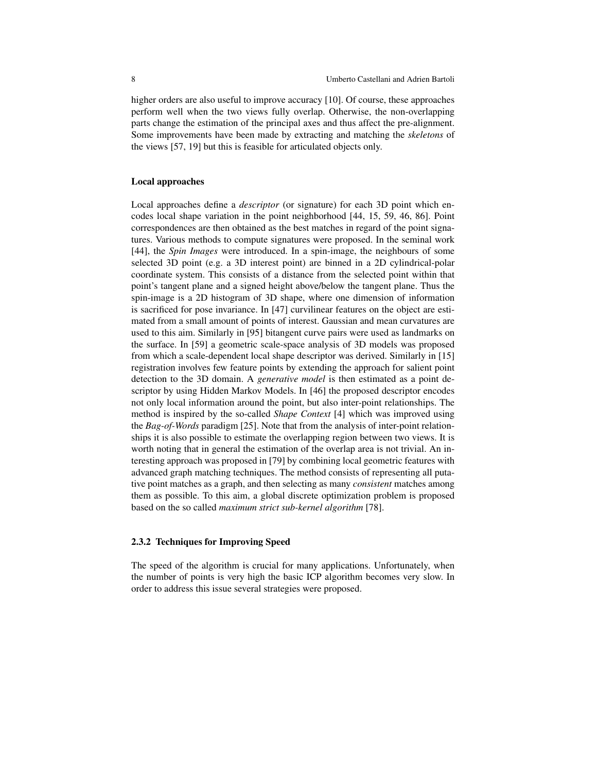higher orders are also useful to improve accuracy [10]. Of course, these approaches perform well when the two views fully overlap. Otherwise, the non-overlapping parts change the estimation of the principal axes and thus affect the pre-alignment. Some improvements have been made by extracting and matching the *skeletons* of the views [57, 19] but this is feasible for articulated objects only.

### Local approaches

Local approaches define a *descriptor* (or signature) for each 3D point which encodes local shape variation in the point neighborhood [44, 15, 59, 46, 86]. Point correspondences are then obtained as the best matches in regard of the point signatures. Various methods to compute signatures were proposed. In the seminal work [44], the *Spin Images* were introduced. In a spin-image, the neighbours of some selected 3D point (e.g. a 3D interest point) are binned in a 2D cylindrical-polar coordinate system. This consists of a distance from the selected point within that point's tangent plane and a signed height above/below the tangent plane. Thus the spin-image is a 2D histogram of 3D shape, where one dimension of information is sacrificed for pose invariance. In [47] curvilinear features on the object are estimated from a small amount of points of interest. Gaussian and mean curvatures are used to this aim. Similarly in [95] bitangent curve pairs were used as landmarks on the surface. In [59] a geometric scale-space analysis of 3D models was proposed from which a scale-dependent local shape descriptor was derived. Similarly in [15] registration involves few feature points by extending the approach for salient point detection to the 3D domain. A *generative model* is then estimated as a point descriptor by using Hidden Markov Models. In [46] the proposed descriptor encodes not only local information around the point, but also inter-point relationships. The method is inspired by the so-called *Shape Context* [4] which was improved using the *Bag-of-Words* paradigm [25]. Note that from the analysis of inter-point relationships it is also possible to estimate the overlapping region between two views. It is worth noting that in general the estimation of the overlap area is not trivial. An interesting approach was proposed in [79] by combining local geometric features with advanced graph matching techniques. The method consists of representing all putative point matches as a graph, and then selecting as many *consistent* matches among them as possible. To this aim, a global discrete optimization problem is proposed based on the so called *maximum strict sub-kernel algorithm* [78].

### 2.3.2 Techniques for Improving Speed

The speed of the algorithm is crucial for many applications. Unfortunately, when the number of points is very high the basic ICP algorithm becomes very slow. In order to address this issue several strategies were proposed.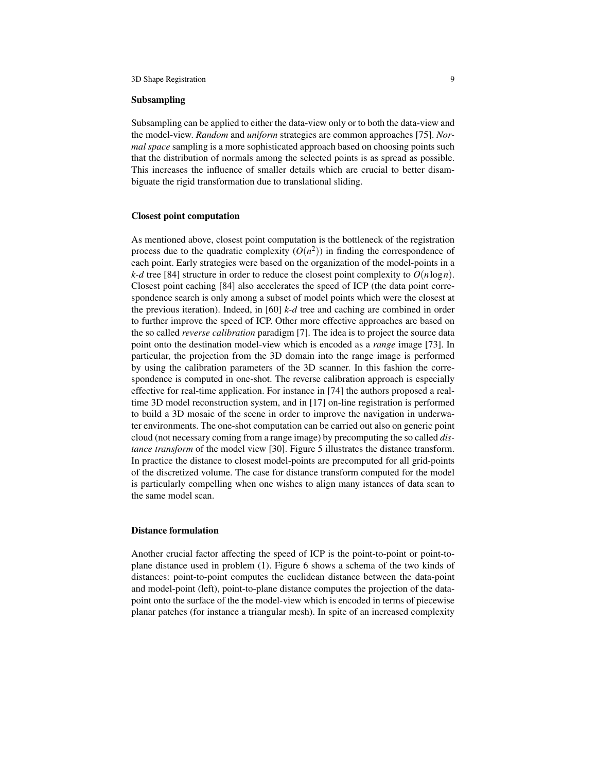#### Subsampling

Subsampling can be applied to either the data-view only or to both the data-view and the model-view. *Random* and *uniform* strategies are common approaches [75]. *Normal space* sampling is a more sophisticated approach based on choosing points such that the distribution of normals among the selected points is as spread as possible. This increases the influence of smaller details which are crucial to better disambiguate the rigid transformation due to translational sliding.

### Closest point computation

As mentioned above, closest point computation is the bottleneck of the registration process due to the quadratic complexity  $(O(n^2))$  in finding the correspondence of each point. Early strategies were based on the organization of the model-points in a *k-d* tree [84] structure in order to reduce the closest point complexity to  $O(n \log n)$ . Closest point caching [84] also accelerates the speed of ICP (the data point correspondence search is only among a subset of model points which were the closest at the previous iteration). Indeed, in [60] *k-d* tree and caching are combined in order to further improve the speed of ICP. Other more effective approaches are based on the so called *reverse calibration* paradigm [7]. The idea is to project the source data point onto the destination model-view which is encoded as a *range* image [73]. In particular, the projection from the 3D domain into the range image is performed by using the calibration parameters of the 3D scanner. In this fashion the correspondence is computed in one-shot. The reverse calibration approach is especially effective for real-time application. For instance in [74] the authors proposed a realtime 3D model reconstruction system, and in [17] on-line registration is performed to build a 3D mosaic of the scene in order to improve the navigation in underwater environments. The one-shot computation can be carried out also on generic point cloud (not necessary coming from a range image) by precomputing the so called *distance transform* of the model view [30]. Figure 5 illustrates the distance transform. In practice the distance to closest model-points are precomputed for all grid-points of the discretized volume. The case for distance transform computed for the model is particularly compelling when one wishes to align many istances of data scan to the same model scan.

### Distance formulation

Another crucial factor affecting the speed of ICP is the point-to-point or point-toplane distance used in problem (1). Figure 6 shows a schema of the two kinds of distances: point-to-point computes the euclidean distance between the data-point and model-point (left), point-to-plane distance computes the projection of the datapoint onto the surface of the the model-view which is encoded in terms of piecewise planar patches (for instance a triangular mesh). In spite of an increased complexity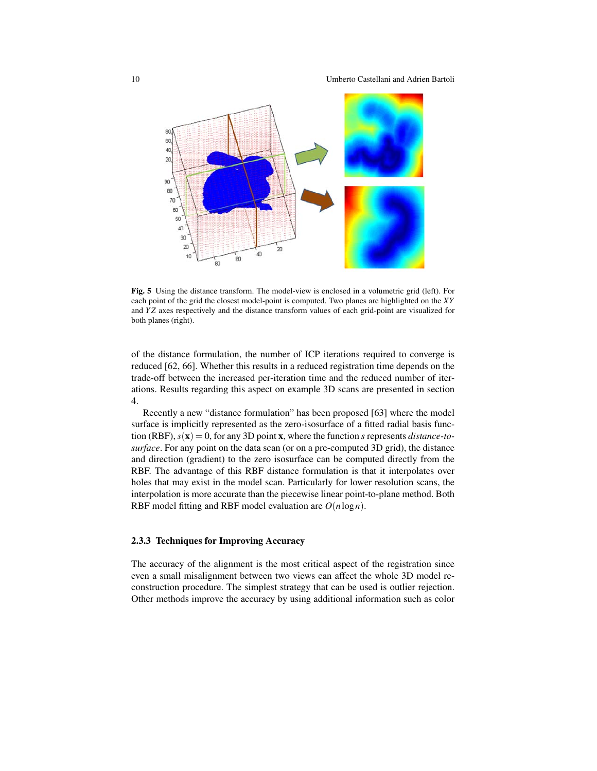#### 10 Umberto Castellani and Adrien Bartoli



Fig. 5 Using the distance transform. The model-view is enclosed in a volumetric grid (left). For each point of the grid the closest model-point is computed. Two planes are highlighted on the *XY* and *Y Z* axes respectively and the distance transform values of each grid-point are visualized for both planes (right).

of the distance formulation, the number of ICP iterations required to converge is reduced [62, 66]. Whether this results in a reduced registration time depends on the trade-off between the increased per-iteration time and the reduced number of iterations. Results regarding this aspect on example 3D scans are presented in section 4.

Recently a new "distance formulation" has been proposed [63] where the model surface is implicitly represented as the zero-isosurface of a fitted radial basis function (RBF),  $s(\mathbf{x}) = 0$ , for any 3D point **x**, where the function *s* represents *distance-tosurface*. For any point on the data scan (or on a pre-computed 3D grid), the distance and direction (gradient) to the zero isosurface can be computed directly from the RBF. The advantage of this RBF distance formulation is that it interpolates over holes that may exist in the model scan. Particularly for lower resolution scans, the interpolation is more accurate than the piecewise linear point-to-plane method. Both RBF model fitting and RBF model evaluation are *O*(*n*log*n*).

### 2.3.3 Techniques for Improving Accuracy

The accuracy of the alignment is the most critical aspect of the registration since even a small misalignment between two views can affect the whole 3D model reconstruction procedure. The simplest strategy that can be used is outlier rejection. Other methods improve the accuracy by using additional information such as color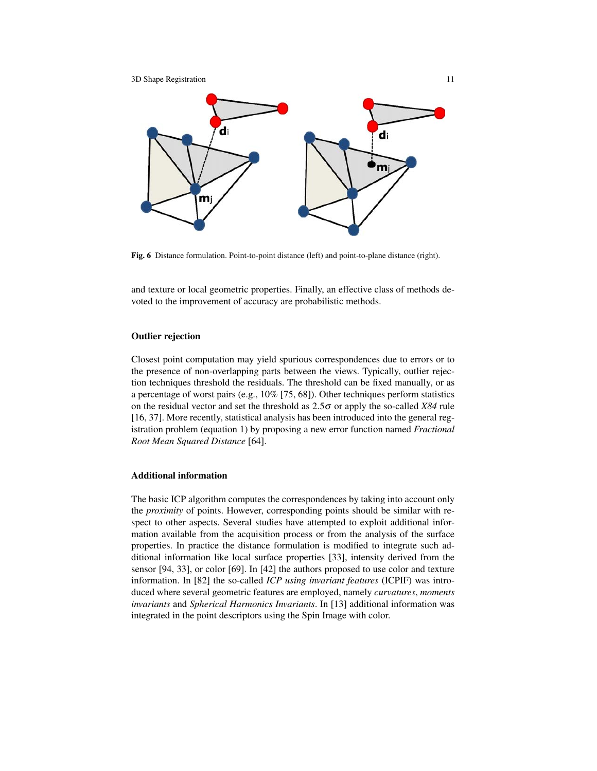

Fig. 6 Distance formulation. Point-to-point distance (left) and point-to-plane distance (right).

and texture or local geometric properties. Finally, an effective class of methods devoted to the improvement of accuracy are probabilistic methods.

### Outlier rejection

Closest point computation may yield spurious correspondences due to errors or to the presence of non-overlapping parts between the views. Typically, outlier rejection techniques threshold the residuals. The threshold can be fixed manually, or as a percentage of worst pairs (e.g., 10% [75, 68]). Other techniques perform statistics on the residual vector and set the threshold as  $2.5\sigma$  or apply the so-called *X84* rule [16, 37]. More recently, statistical analysis has been introduced into the general registration problem (equation 1) by proposing a new error function named *Fractional Root Mean Squared Distance* [64].

### Additional information

The basic ICP algorithm computes the correspondences by taking into account only the *proximity* of points. However, corresponding points should be similar with respect to other aspects. Several studies have attempted to exploit additional information available from the acquisition process or from the analysis of the surface properties. In practice the distance formulation is modified to integrate such additional information like local surface properties [33], intensity derived from the sensor [94, 33], or color [69]. In [42] the authors proposed to use color and texture information. In [82] the so-called *ICP using invariant features* (ICPIF) was introduced where several geometric features are employed, namely *curvatures*, *moments invariants* and *Spherical Harmonics Invariants*. In [13] additional information was integrated in the point descriptors using the Spin Image with color.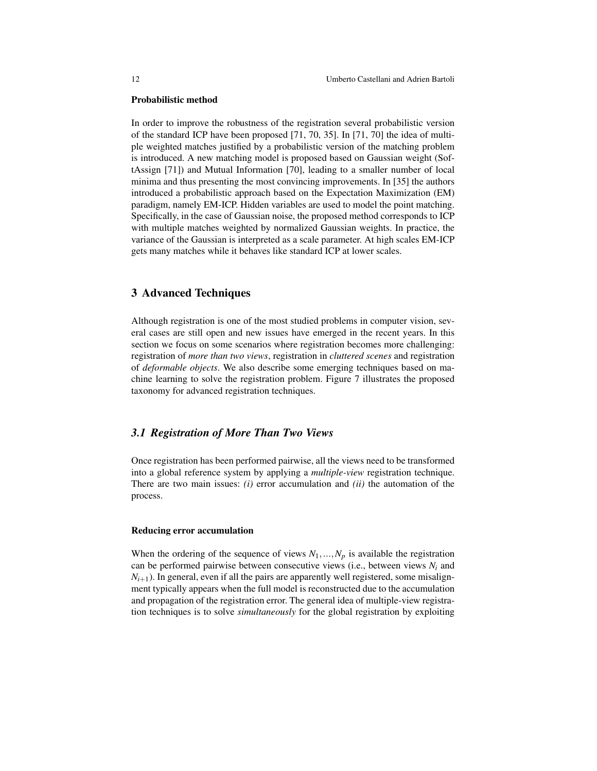#### Probabilistic method

In order to improve the robustness of the registration several probabilistic version of the standard ICP have been proposed [71, 70, 35]. In [71, 70] the idea of multiple weighted matches justified by a probabilistic version of the matching problem is introduced. A new matching model is proposed based on Gaussian weight (SoftAssign [71]) and Mutual Information [70], leading to a smaller number of local minima and thus presenting the most convincing improvements. In [35] the authors introduced a probabilistic approach based on the Expectation Maximization (EM) paradigm, namely EM-ICP. Hidden variables are used to model the point matching. Specifically, in the case of Gaussian noise, the proposed method corresponds to ICP with multiple matches weighted by normalized Gaussian weights. In practice, the variance of the Gaussian is interpreted as a scale parameter. At high scales EM-ICP gets many matches while it behaves like standard ICP at lower scales.

## 3 Advanced Techniques

Although registration is one of the most studied problems in computer vision, several cases are still open and new issues have emerged in the recent years. In this section we focus on some scenarios where registration becomes more challenging: registration of *more than two views*, registration in *cluttered scenes* and registration of *deformable objects*. We also describe some emerging techniques based on machine learning to solve the registration problem. Figure 7 illustrates the proposed taxonomy for advanced registration techniques.

### *3.1 Registration of More Than Two Views*

Once registration has been performed pairwise, all the views need to be transformed into a global reference system by applying a *multiple-view* registration technique. There are two main issues: *(i)* error accumulation and *(ii)* the automation of the process.

### Reducing error accumulation

When the ordering of the sequence of views  $N_1$ , ...,  $N_p$  is available the registration can be performed pairwise between consecutive views (i.e., between views  $N_i$  and  $N_{i+1}$ ). In general, even if all the pairs are apparently well registered, some misalignment typically appears when the full model is reconstructed due to the accumulation and propagation of the registration error. The general idea of multiple-view registration techniques is to solve *simultaneously* for the global registration by exploiting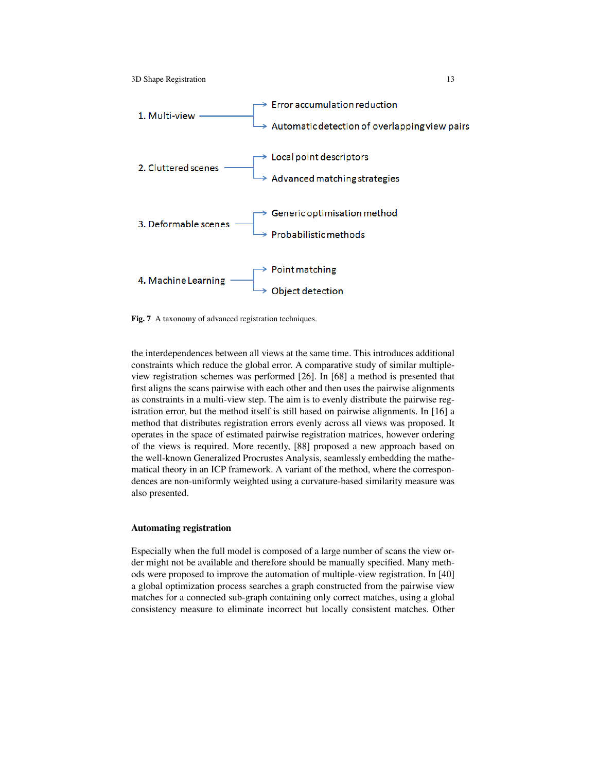

Fig. 7 A taxonomy of advanced registration techniques.

the interdependences between all views at the same time. This introduces additional constraints which reduce the global error. A comparative study of similar multipleview registration schemes was performed [26]. In [68] a method is presented that first aligns the scans pairwise with each other and then uses the pairwise alignments as constraints in a multi-view step. The aim is to evenly distribute the pairwise registration error, but the method itself is still based on pairwise alignments. In [16] a method that distributes registration errors evenly across all views was proposed. It operates in the space of estimated pairwise registration matrices, however ordering of the views is required. More recently, [88] proposed a new approach based on the well-known Generalized Procrustes Analysis, seamlessly embedding the mathematical theory in an ICP framework. A variant of the method, where the correspondences are non-uniformly weighted using a curvature-based similarity measure was also presented.

### Automating registration

Especially when the full model is composed of a large number of scans the view order might not be available and therefore should be manually specified. Many methods were proposed to improve the automation of multiple-view registration. In [40] a global optimization process searches a graph constructed from the pairwise view matches for a connected sub-graph containing only correct matches, using a global consistency measure to eliminate incorrect but locally consistent matches. Other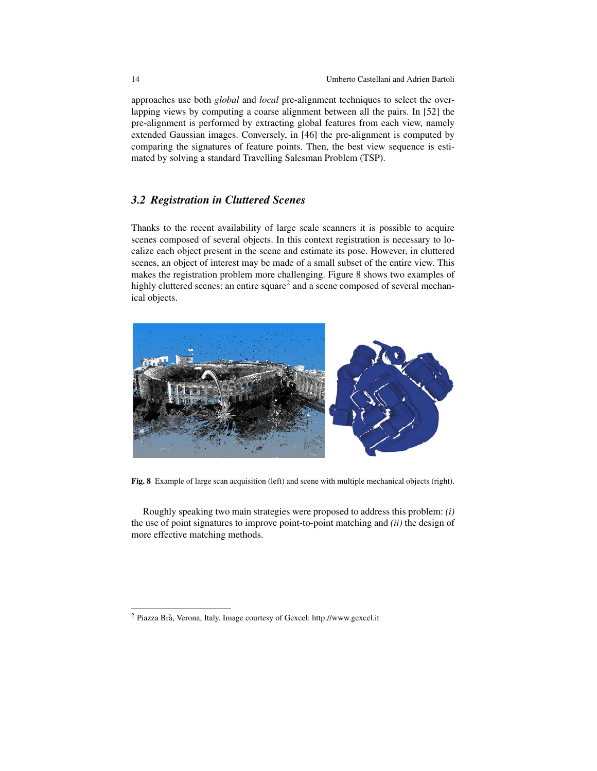approaches use both *global* and *local* pre-alignment techniques to select the overlapping views by computing a coarse alignment between all the pairs. In [52] the pre-alignment is performed by extracting global features from each view, namely extended Gaussian images. Conversely, in [46] the pre-alignment is computed by comparing the signatures of feature points. Then, the best view sequence is estimated by solving a standard Travelling Salesman Problem (TSP).

## *3.2 Registration in Cluttered Scenes*

Thanks to the recent availability of large scale scanners it is possible to acquire scenes composed of several objects. In this context registration is necessary to localize each object present in the scene and estimate its pose. However, in cluttered scenes, an object of interest may be made of a small subset of the entire view. This makes the registration problem more challenging. Figure 8 shows two examples of highly cluttered scenes: an entire square<sup>2</sup> and a scene composed of several mechanical objects.



Fig. 8 Example of large scan acquisition (left) and scene with multiple mechanical objects (right).

Roughly speaking two main strategies were proposed to address this problem: *(i)* the use of point signatures to improve point-to-point matching and *(ii)* the design of more effective matching methods.

<sup>2</sup> Piazza Bra, Verona, Italy. Image courtesy of Gexcel: http://www.gexcel.it `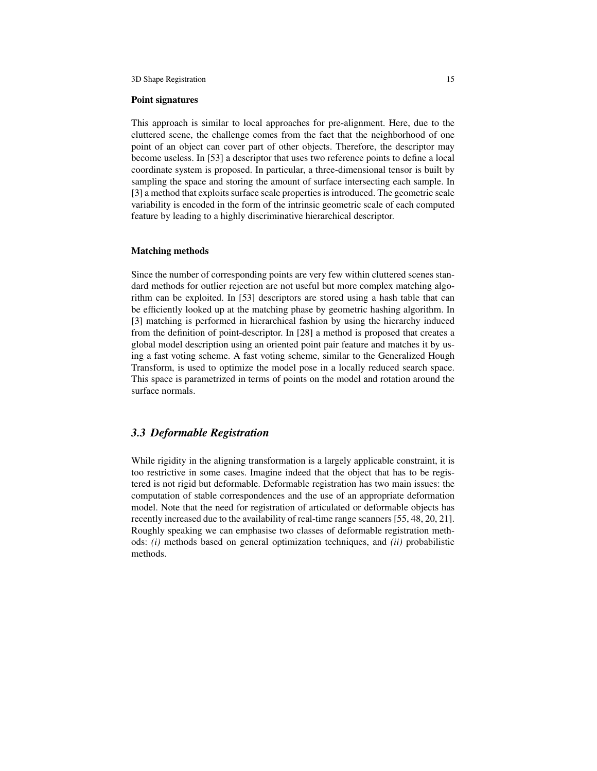#### Point signatures

This approach is similar to local approaches for pre-alignment. Here, due to the cluttered scene, the challenge comes from the fact that the neighborhood of one point of an object can cover part of other objects. Therefore, the descriptor may become useless. In [53] a descriptor that uses two reference points to define a local coordinate system is proposed. In particular, a three-dimensional tensor is built by sampling the space and storing the amount of surface intersecting each sample. In [3] a method that exploits surface scale properties is introduced. The geometric scale variability is encoded in the form of the intrinsic geometric scale of each computed feature by leading to a highly discriminative hierarchical descriptor.

### Matching methods

Since the number of corresponding points are very few within cluttered scenes standard methods for outlier rejection are not useful but more complex matching algorithm can be exploited. In [53] descriptors are stored using a hash table that can be efficiently looked up at the matching phase by geometric hashing algorithm. In [3] matching is performed in hierarchical fashion by using the hierarchy induced from the definition of point-descriptor. In [28] a method is proposed that creates a global model description using an oriented point pair feature and matches it by using a fast voting scheme. A fast voting scheme, similar to the Generalized Hough Transform, is used to optimize the model pose in a locally reduced search space. This space is parametrized in terms of points on the model and rotation around the surface normals.

## *3.3 Deformable Registration*

While rigidity in the aligning transformation is a largely applicable constraint, it is too restrictive in some cases. Imagine indeed that the object that has to be registered is not rigid but deformable. Deformable registration has two main issues: the computation of stable correspondences and the use of an appropriate deformation model. Note that the need for registration of articulated or deformable objects has recently increased due to the availability of real-time range scanners [55, 48, 20, 21]. Roughly speaking we can emphasise two classes of deformable registration methods: *(i)* methods based on general optimization techniques, and *(ii)* probabilistic methods.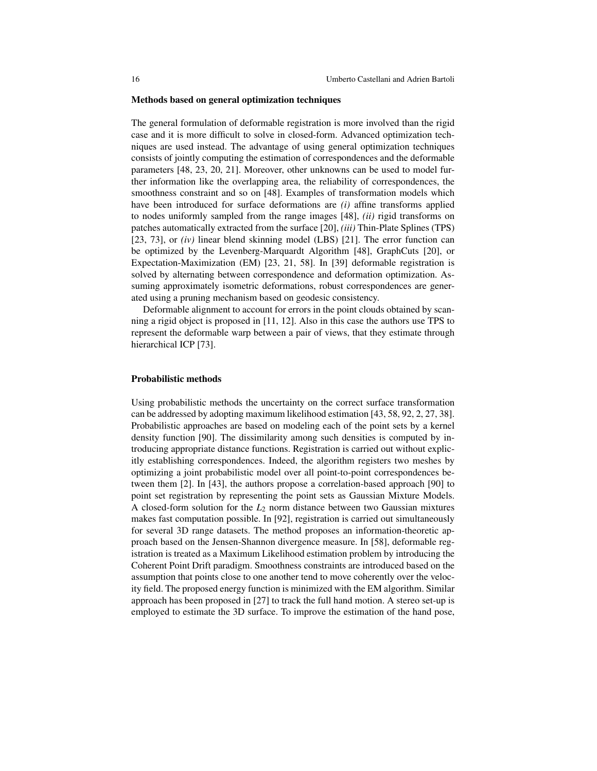### Methods based on general optimization techniques

The general formulation of deformable registration is more involved than the rigid case and it is more difficult to solve in closed-form. Advanced optimization techniques are used instead. The advantage of using general optimization techniques consists of jointly computing the estimation of correspondences and the deformable parameters [48, 23, 20, 21]. Moreover, other unknowns can be used to model further information like the overlapping area, the reliability of correspondences, the smoothness constraint and so on [48]. Examples of transformation models which have been introduced for surface deformations are *(i)* affine transforms applied to nodes uniformly sampled from the range images [48], *(ii)* rigid transforms on patches automatically extracted from the surface [20], *(iii)* Thin-Plate Splines (TPS) [23, 73], or *(iv)* linear blend skinning model (LBS) [21]. The error function can be optimized by the Levenberg-Marquardt Algorithm [48], GraphCuts [20], or Expectation-Maximization (EM) [23, 21, 58]. In [39] deformable registration is solved by alternating between correspondence and deformation optimization. Assuming approximately isometric deformations, robust correspondences are generated using a pruning mechanism based on geodesic consistency.

Deformable alignment to account for errors in the point clouds obtained by scanning a rigid object is proposed in [11, 12]. Also in this case the authors use TPS to represent the deformable warp between a pair of views, that they estimate through hierarchical ICP [73].

### Probabilistic methods

Using probabilistic methods the uncertainty on the correct surface transformation can be addressed by adopting maximum likelihood estimation [43, 58, 92, 2, 27, 38]. Probabilistic approaches are based on modeling each of the point sets by a kernel density function [90]. The dissimilarity among such densities is computed by introducing appropriate distance functions. Registration is carried out without explicitly establishing correspondences. Indeed, the algorithm registers two meshes by optimizing a joint probabilistic model over all point-to-point correspondences between them [2]. In [43], the authors propose a correlation-based approach [90] to point set registration by representing the point sets as Gaussian Mixture Models. A closed-form solution for the  $L_2$  norm distance between two Gaussian mixtures makes fast computation possible. In [92], registration is carried out simultaneously for several 3D range datasets. The method proposes an information-theoretic approach based on the Jensen-Shannon divergence measure. In [58], deformable registration is treated as a Maximum Likelihood estimation problem by introducing the Coherent Point Drift paradigm. Smoothness constraints are introduced based on the assumption that points close to one another tend to move coherently over the velocity field. The proposed energy function is minimized with the EM algorithm. Similar approach has been proposed in [27] to track the full hand motion. A stereo set-up is employed to estimate the 3D surface. To improve the estimation of the hand pose,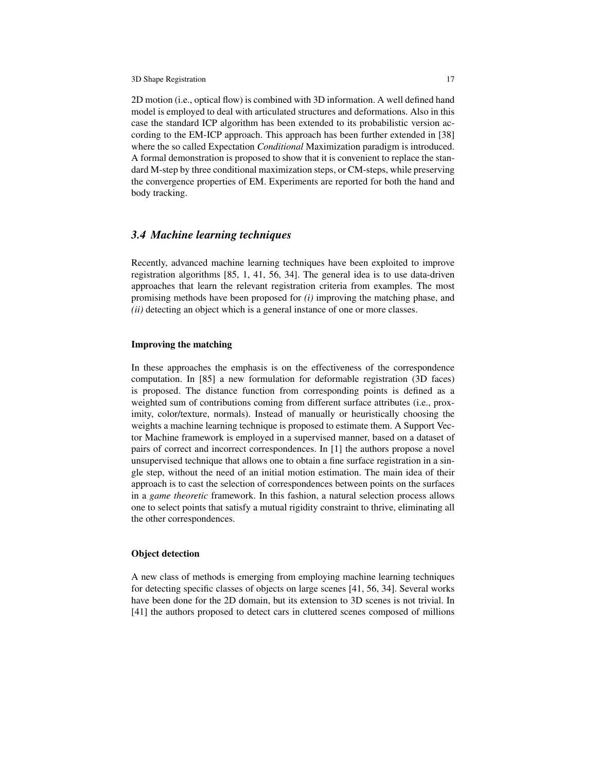2D motion (i.e., optical flow) is combined with 3D information. A well defined hand model is employed to deal with articulated structures and deformations. Also in this case the standard ICP algorithm has been extended to its probabilistic version according to the EM-ICP approach. This approach has been further extended in [38] where the so called Expectation *Conditional* Maximization paradigm is introduced. A formal demonstration is proposed to show that it is convenient to replace the standard M-step by three conditional maximization steps, or CM-steps, while preserving the convergence properties of EM. Experiments are reported for both the hand and body tracking.

## *3.4 Machine learning techniques*

Recently, advanced machine learning techniques have been exploited to improve registration algorithms [85, 1, 41, 56, 34]. The general idea is to use data-driven approaches that learn the relevant registration criteria from examples. The most promising methods have been proposed for *(i)* improving the matching phase, and *(ii)* detecting an object which is a general instance of one or more classes.

### Improving the matching

In these approaches the emphasis is on the effectiveness of the correspondence computation. In [85] a new formulation for deformable registration (3D faces) is proposed. The distance function from corresponding points is defined as a weighted sum of contributions coming from different surface attributes (i.e., proximity, color/texture, normals). Instead of manually or heuristically choosing the weights a machine learning technique is proposed to estimate them. A Support Vector Machine framework is employed in a supervised manner, based on a dataset of pairs of correct and incorrect correspondences. In [1] the authors propose a novel unsupervised technique that allows one to obtain a fine surface registration in a single step, without the need of an initial motion estimation. The main idea of their approach is to cast the selection of correspondences between points on the surfaces in a *game theoretic* framework. In this fashion, a natural selection process allows one to select points that satisfy a mutual rigidity constraint to thrive, eliminating all the other correspondences.

#### Object detection

A new class of methods is emerging from employing machine learning techniques for detecting specific classes of objects on large scenes [41, 56, 34]. Several works have been done for the 2D domain, but its extension to 3D scenes is not trivial. In [41] the authors proposed to detect cars in cluttered scenes composed of millions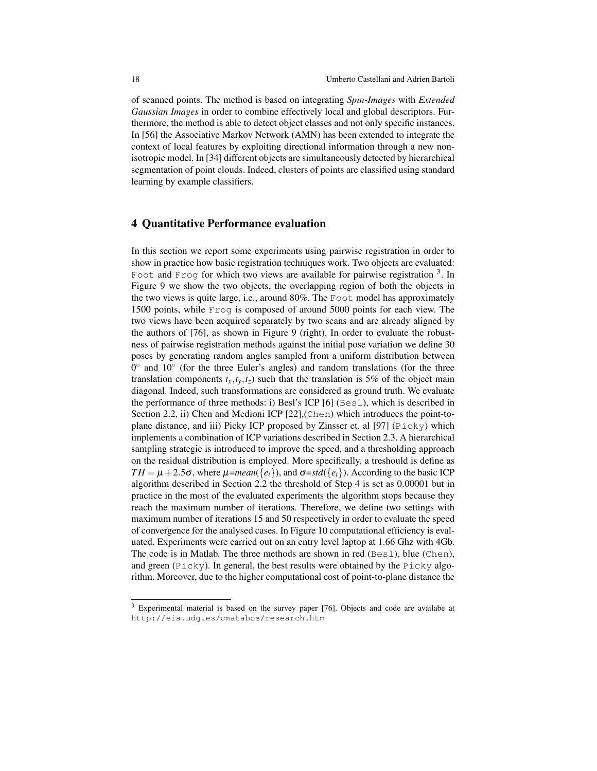of scanned points. The method is based on integrating *Spin-Images* with *Extended Gaussian Images* in order to combine effectively local and global descriptors. Furthermore, the method is able to detect object classes and not only specific instances. In [56] the Associative Markov Network (AMN) has been extended to integrate the context of local features by exploiting directional information through a new nonisotropic model. In [34] different objects are simultaneously detected by hierarchical segmentation of point clouds. Indeed, clusters of points are classified using standard learning by example classifiers.

## 4 Quantitative Performance evaluation

In this section we report some experiments using pairwise registration in order to show in practice how basic registration techniques work. Two objects are evaluated: Foot and Frog for which two views are available for pairwise registration  $3$ . In Figure 9 we show the two objects, the overlapping region of both the objects in the two views is quite large, i.e., around 80%. The Foot model has approximately 1500 points, while Frog is composed of around 5000 points for each view. The two views have been acquired separately by two scans and are already aligned by the authors of [76], as shown in Figure 9 (right). In order to evaluate the robustness of pairwise registration methods against the initial pose variation we define 30 poses by generating random angles sampled from a uniform distribution between  $0^{\circ}$  and  $10^{\circ}$  (for the three Euler's angles) and random translations (for the three translation components  $t_x, t_y, t_z$  such that the translation is 5% of the object main diagonal. Indeed, such transformations are considered as ground truth. We evaluate the performance of three methods: i) Besl's ICP [6] (Besl), which is described in Section 2.2, ii) Chen and Medioni ICP [22],(Chen) which introduces the point-toplane distance, and iii) Picky ICP proposed by Zinsser et. al [97] (Picky) which implements a combination of ICP variations described in Section 2.3. A hierarchical sampling strategie is introduced to improve the speed, and a thresholding approach on the residual distribution is employed. More specifically, a treshould is define as  $TH = \mu + 2.5\sigma$ , where  $\mu = \text{mean}(\{e_i\})$ , and  $\sigma = \text{std}(\{e_i\})$ . According to the basic ICP algorithm described in Section 2.2 the threshold of Step 4 is set as 0.00001 but in practice in the most of the evaluated experiments the algorithm stops because they reach the maximum number of iterations. Therefore, we define two settings with maximum number of iterations 15 and 50 respectively in order to evaluate the speed of convergence for the analysed cases. In Figure 10 computational efficiency is evaluated. Experiments were carried out on an entry level laptop at 1.66 Ghz with 4Gb. The code is in Matlab. The three methods are shown in red (Besl), blue (Chen), and green ( $Picky$ ). In general, the best results were obtained by the  $Picky$  algorithm. Moreover, due to the higher computational cost of point-to-plane distance the

<sup>3</sup> Experimental material is based on the survey paper [76]. Objects and code are availabe at http://eia.udg.es/cmatabos/research.htm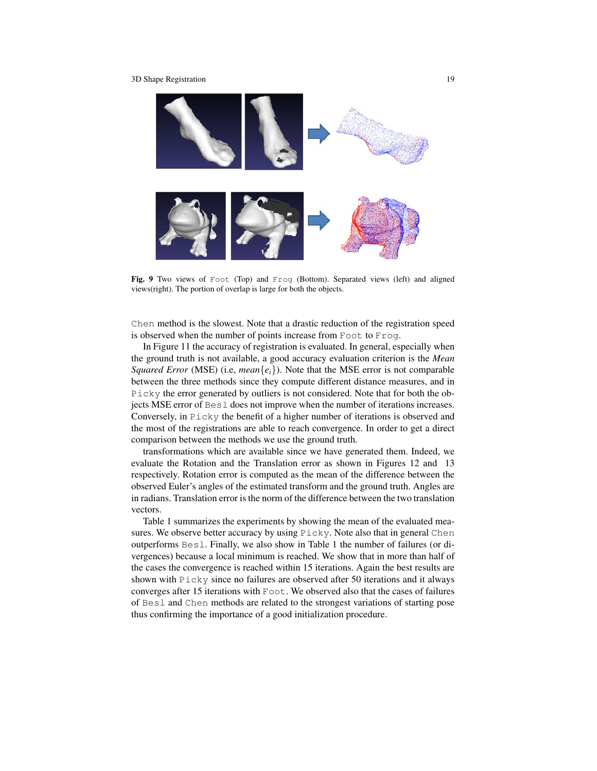

Fig. 9 Two views of Foot (Top) and Frog (Bottom). Separated views (left) and aligned views(right). The portion of overlap is large for both the objects.

Chen method is the slowest. Note that a drastic reduction of the registration speed is observed when the number of points increase from Foot to Frog.

In Figure 11 the accuracy of registration is evaluated. In general, especially when the ground truth is not available, a good accuracy evaluation criterion is the *Mean Squared Error* (MSE) (i.e, *mean*{ $e_i$ }). Note that the MSE error is not comparable between the three methods since they compute different distance measures, and in Picky the error generated by outliers is not considered. Note that for both the objects MSE error of Besl does not improve when the number of iterations increases. Conversely, in Picky the benefit of a higher number of iterations is observed and the most of the registrations are able to reach convergence. In order to get a direct comparison between the methods we use the ground truth.

transformations which are available since we have generated them. Indeed, we evaluate the Rotation and the Translation error as shown in Figures 12 and 13 respectively. Rotation error is computed as the mean of the difference between the observed Euler's angles of the estimated transform and the ground truth. Angles are in radians. Translation error is the norm of the difference between the two translation vectors.

Table 1 summarizes the experiments by showing the mean of the evaluated measures. We observe better accuracy by using Picky. Note also that in general Chen outperforms Besl. Finally, we also show in Table 1 the number of failures (or divergences) because a local minimum is reached. We show that in more than half of the cases the convergence is reached within 15 iterations. Again the best results are shown with Picky since no failures are observed after 50 iterations and it always converges after 15 iterations with  $F \circ \circ t$ . We observed also that the cases of failures of Besl and Chen methods are related to the strongest variations of starting pose thus confirming the importance of a good initialization procedure.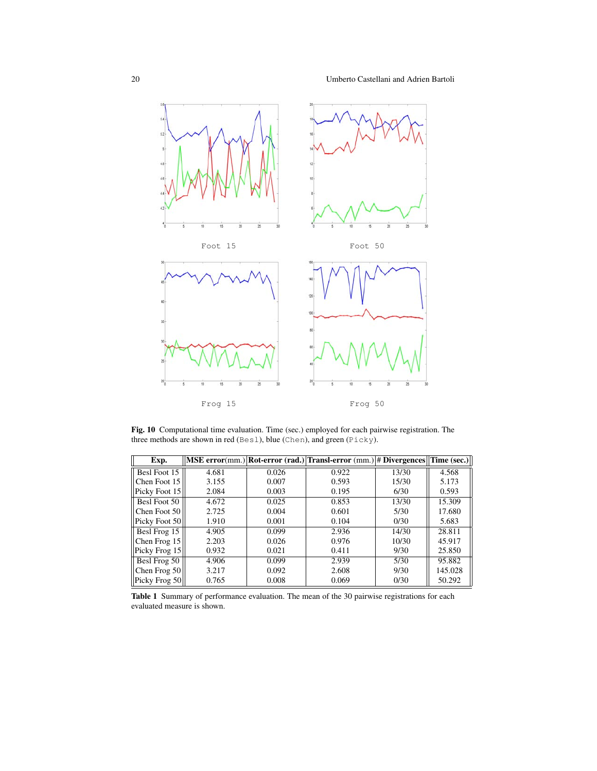

Fig. 10 Computational time evaluation. Time (sec.) employed for each pairwise registration. The three methods are shown in red (Besl), blue (Chen), and green (Picky).

| Exp.          |       |       | MSE error(mm.) Rot-error (rad.) Transl-error (mm.) # Divergences  Time (sec.) |       |         |
|---------------|-------|-------|-------------------------------------------------------------------------------|-------|---------|
| Besl Foot 15  | 4.681 | 0.026 | 0.922                                                                         | 13/30 | 4.568   |
| Chen Foot 15  | 3.155 | 0.007 | 0.593                                                                         | 15/30 | 5.173   |
| Picky Foot 15 | 2.084 | 0.003 | 0.195                                                                         | 6/30  | 0.593   |
| Besl Foot 50  | 4.672 | 0.025 | 0.853                                                                         | 13/30 | 15.309  |
| Chen Foot 50  | 2.725 | 0.004 | 0.601                                                                         | 5/30  | 17.680  |
| Picky Foot 50 | 1.910 | 0.001 | 0.104                                                                         | 0/30  | 5.683   |
| Besl Frog 15  | 4.905 | 0.099 | 2.936                                                                         | 14/30 | 28.811  |
| Chen Frog 15  | 2.203 | 0.026 | 0.976                                                                         | 10/30 | 45.917  |
| Picky Frog 15 | 0.932 | 0.021 | 0.411                                                                         | 9/30  | 25.850  |
| Besl Frog 50  | 4.906 | 0.099 | 2.939                                                                         | 5/30  | 95.882  |
| Chen Frog 50  | 3.217 | 0.092 | 2.608                                                                         | 9/30  | 145.028 |
| Picky Frog 50 | 0.765 | 0.008 | 0.069                                                                         | 0/30  | 50.292  |

Table 1 Summary of performance evaluation. The mean of the 30 pairwise registrations for each evaluated measure is shown.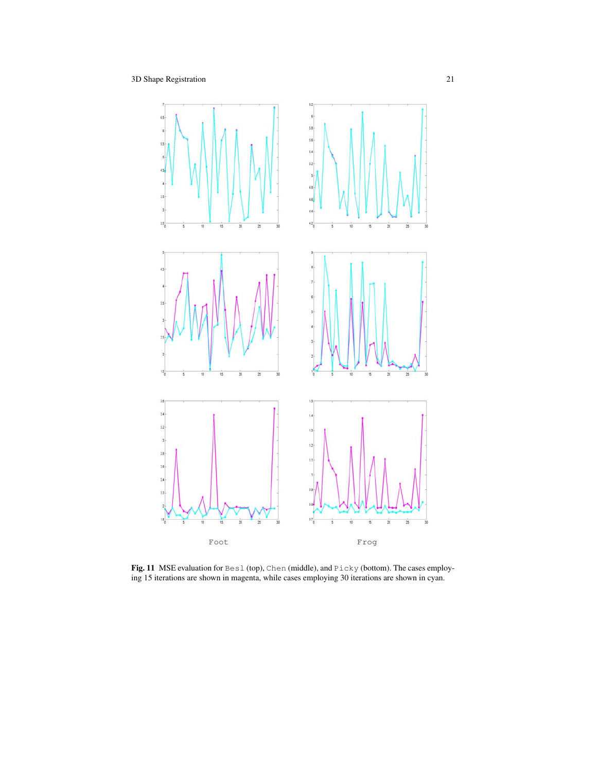

Fig. 11 MSE evaluation for Besl (top), Chen (middle), and Picky (bottom). The cases employing 15 iterations are shown in magenta, while cases employing 30 iterations are shown in cyan.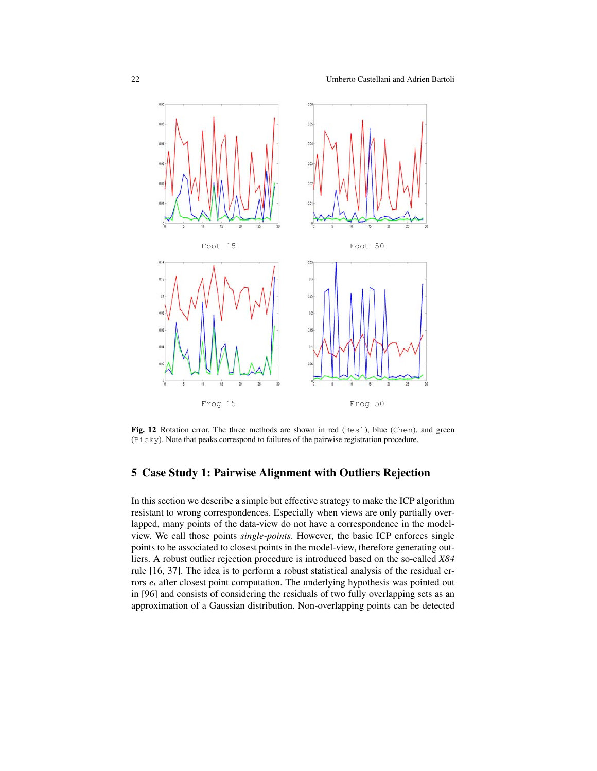

Fig. 12 Rotation error. The three methods are shown in red (Besl), blue (Chen), and green (Picky). Note that peaks correspond to failures of the pairwise registration procedure.

## 5 Case Study 1: Pairwise Alignment with Outliers Rejection

In this section we describe a simple but effective strategy to make the ICP algorithm resistant to wrong correspondences. Especially when views are only partially overlapped, many points of the data-view do not have a correspondence in the modelview. We call those points *single-points*. However, the basic ICP enforces single points to be associated to closest points in the model-view, therefore generating outliers. A robust outlier rejection procedure is introduced based on the so-called *X84* rule [16, 37]. The idea is to perform a robust statistical analysis of the residual errors *e<sup>i</sup>* after closest point computation. The underlying hypothesis was pointed out in [96] and consists of considering the residuals of two fully overlapping sets as an approximation of a Gaussian distribution. Non-overlapping points can be detected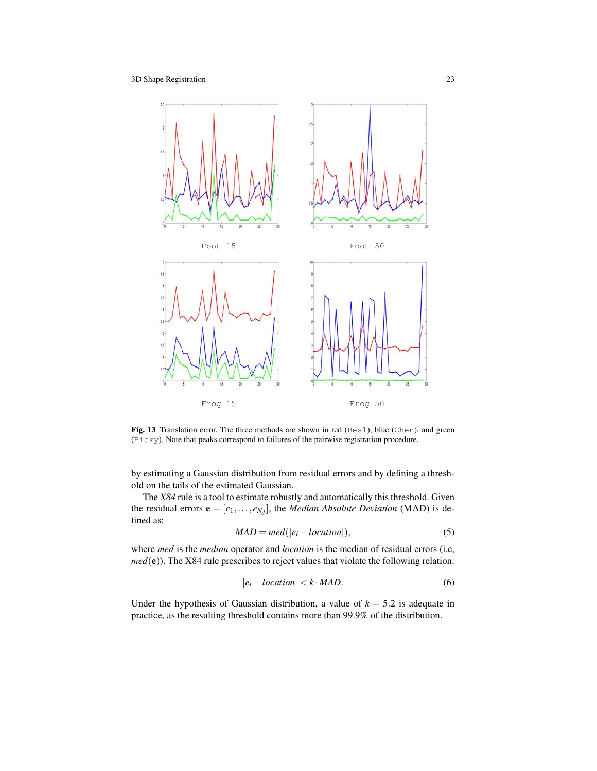

Fig. 13 Translation error. The three methods are shown in red (Bes1), blue (Chen), and green (Picky). Note that peaks correspond to failures of the pairwise registration procedure.

by estimating a Gaussian distribution from residual errors and by defining a threshold on the tails of the estimated Gaussian.

The *X84* rule is a tool to estimate robustly and automatically this threshold. Given the residual errors  $\mathbf{e} = [e_1, \dots, e_{N_d}]$ , the *Median Absolute Deviation* (MAD) is defined as:

$$
MAD = med(|e_i - location|), \tag{5}
$$

where *med* is the *median* operator and *location* is the median of residual errors (i.e, *med*(e)). The X84 rule prescribes to reject values that violate the following relation:

$$
|e_i - location| < k \cdot MAD. \tag{6}
$$

Under the hypothesis of Gaussian distribution, a value of  $k = 5.2$  is adequate in practice, as the resulting threshold contains more than 99.9% of the distribution.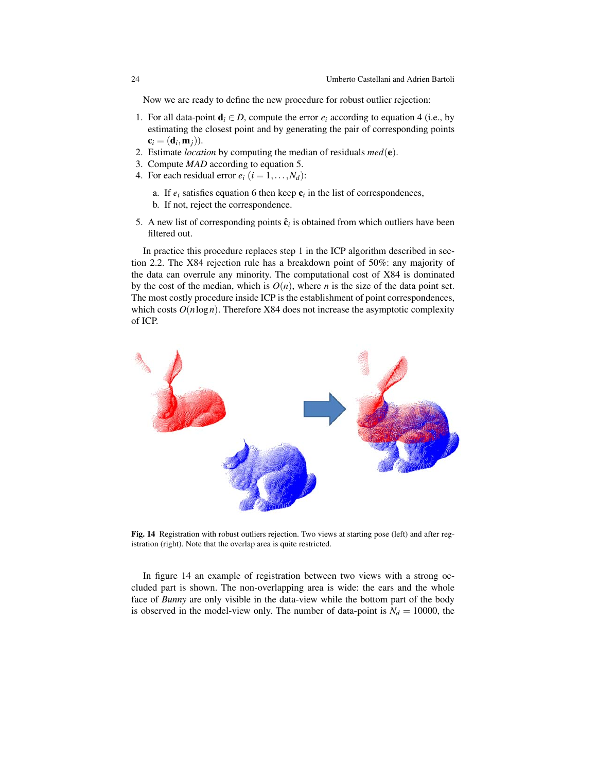Now we are ready to define the new procedure for robust outlier rejection:

- 1. For all data-point  $\mathbf{d}_i \in D$ , compute the error  $e_i$  according to equation 4 (i.e., by estimating the closest point and by generating the pair of corresponding points  $\mathbf{c}_i = (\mathbf{d}_i, \mathbf{m}_j)$ ).
- 2. Estimate *location* by computing the median of residuals *med*(e).
- 3. Compute *MAD* according to equation 5.
- 4. For each residual error  $e_i$   $(i = 1, ..., N_d)$ :
	- a. If  $e_i$  satisfies equation 6 then keep  $\mathbf{c}_i$  in the list of correspondences,
	- b. If not, reject the correspondence.
- 5. A new list of corresponding points  $\hat{\mathbf{c}}_i$  is obtained from which outliers have been filtered out.

In practice this procedure replaces step 1 in the ICP algorithm described in section 2.2. The X84 rejection rule has a breakdown point of 50%: any majority of the data can overrule any minority. The computational cost of X84 is dominated by the cost of the median, which is  $O(n)$ , where *n* is the size of the data point set. The most costly procedure inside ICP is the establishment of point correspondences, which costs  $O(n \log n)$ . Therefore X84 does not increase the asymptotic complexity of ICP.



Fig. 14 Registration with robust outliers rejection. Two views at starting pose (left) and after registration (right). Note that the overlap area is quite restricted.

In figure 14 an example of registration between two views with a strong occluded part is shown. The non-overlapping area is wide: the ears and the whole face of *Bunny* are only visible in the data-view while the bottom part of the body is observed in the model-view only. The number of data-point is  $N_d = 10000$ , the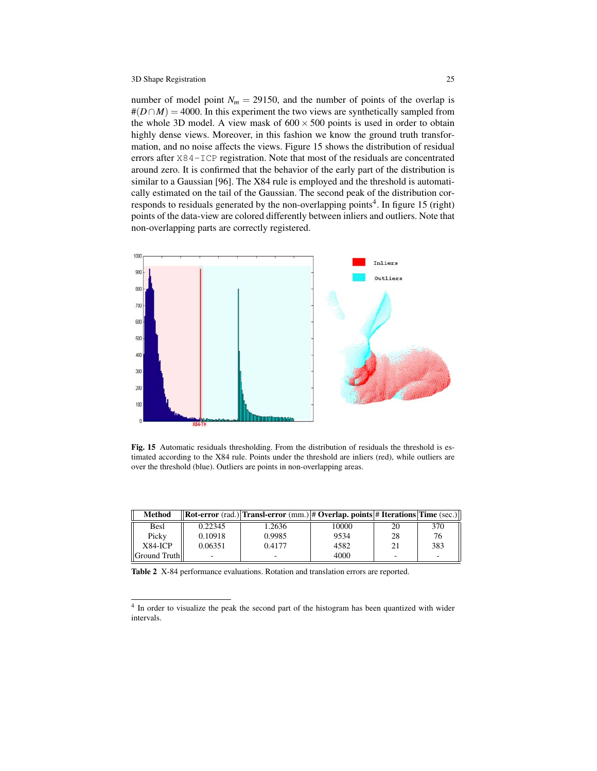number of model point  $N_m = 29150$ , and the number of points of the overlap is #(*D*∩*M*) = 4000. In this experiment the two views are synthetically sampled from the whole 3D model. A view mask of  $600 \times 500$  points is used in order to obtain highly dense views. Moreover, in this fashion we know the ground truth transformation, and no noise affects the views. Figure 15 shows the distribution of residual errors after X84-ICP registration. Note that most of the residuals are concentrated around zero. It is confirmed that the behavior of the early part of the distribution is similar to a Gaussian [96]. The X84 rule is employed and the threshold is automatically estimated on the tail of the Gaussian. The second peak of the distribution corresponds to residuals generated by the non-overlapping points<sup>4</sup>. In figure 15 (right) points of the data-view are colored differently between inliers and outliers. Note that non-overlapping parts are correctly registered.



Fig. 15 Automatic residuals thresholding. From the distribution of residuals the threshold is estimated according to the X84 rule. Points under the threshold are inliers (red), while outliers are over the threshold (blue). Outliers are points in non-overlapping areas.

| Method       |         | $\ $ <b>Rot-error</b> (rad.) <b>Transl-error</b> (mm.) # <b>Overlap. points</b> # <b>Iterations Time</b> (sec.) |       |    |     |
|--------------|---------|-----------------------------------------------------------------------------------------------------------------|-------|----|-----|
| Besl         | 0.22345 | .2636                                                                                                           | 10000 | 20 | 370 |
| Picky        | 0.10918 | 0.9985                                                                                                          | 9534  | 28 | 76  |
| $X84-ICP$    | 0.06351 | 0.4177                                                                                                          | 4582  | 21 | 383 |
| Ground Truth | -       | $\overline{\phantom{a}}$                                                                                        | 4000  |    |     |

Table 2 X-84 performance evaluations. Rotation and translation errors are reported.

<sup>&</sup>lt;sup>4</sup> In order to visualize the peak the second part of the histogram has been quantized with wider intervals.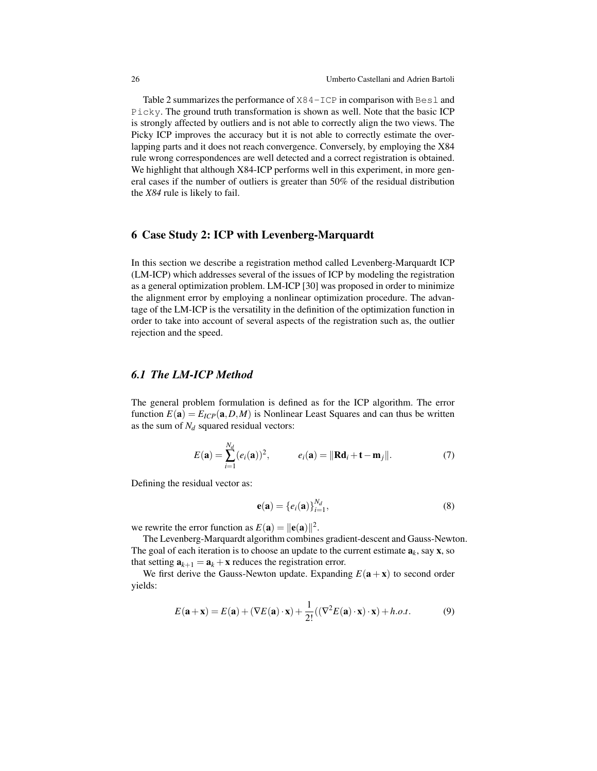Table 2 summarizes the performance of  $X84-ICP$  in comparison with  $\text{Bes1}$  and Picky. The ground truth transformation is shown as well. Note that the basic ICP is strongly affected by outliers and is not able to correctly align the two views. The Picky ICP improves the accuracy but it is not able to correctly estimate the overlapping parts and it does not reach convergence. Conversely, by employing the X84 rule wrong correspondences are well detected and a correct registration is obtained. We highlight that although X84-ICP performs well in this experiment, in more general cases if the number of outliers is greater than 50% of the residual distribution the *X84* rule is likely to fail.

## 6 Case Study 2: ICP with Levenberg-Marquardt

In this section we describe a registration method called Levenberg-Marquardt ICP (LM-ICP) which addresses several of the issues of ICP by modeling the registration as a general optimization problem. LM-ICP [30] was proposed in order to minimize the alignment error by employing a nonlinear optimization procedure. The advantage of the LM-ICP is the versatility in the definition of the optimization function in order to take into account of several aspects of the registration such as, the outlier rejection and the speed.

## *6.1 The LM-ICP Method*

The general problem formulation is defined as for the ICP algorithm. The error function  $E(\mathbf{a}) = E_{ICP}(\mathbf{a}, D, M)$  is Nonlinear Least Squares and can thus be written as the sum of  $N_d$  squared residual vectors:

$$
E(\mathbf{a}) = \sum_{i=1}^{N_d} (e_i(\mathbf{a}))^2, \qquad e_i(\mathbf{a}) = ||\mathbf{R}\mathbf{d}_i + \mathbf{t} - \mathbf{m}_j||. \tag{7}
$$

Defining the residual vector as:

$$
\mathbf{e}(\mathbf{a}) = \{e_i(\mathbf{a})\}_{i=1}^{N_d},\tag{8}
$$

we rewrite the error function as  $E(\mathbf{a}) = ||\mathbf{e}(\mathbf{a})||^2$ .

The Levenberg-Marquardt algorithm combines gradient-descent and Gauss-Newton. The goal of each iteration is to choose an update to the current estimate  $a_k$ , say  $x$ , so that setting  $\mathbf{a}_{k+1} = \mathbf{a}_k + \mathbf{x}$  reduces the registration error.

We first derive the Gauss-Newton update. Expanding  $E(\mathbf{a} + \mathbf{x})$  to second order yields:

$$
E(\mathbf{a} + \mathbf{x}) = E(\mathbf{a}) + (\nabla E(\mathbf{a}) \cdot \mathbf{x}) + \frac{1}{2!} ((\nabla^2 E(\mathbf{a}) \cdot \mathbf{x}) \cdot \mathbf{x}) + h.o.t.
$$
 (9)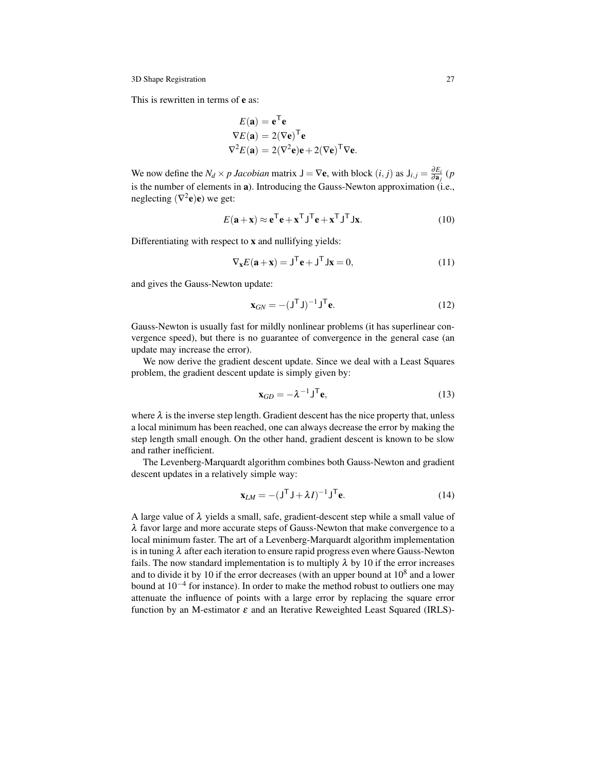This is rewritten in terms of e as:

$$
E(\mathbf{a}) = \mathbf{e}^{\mathsf{T}} \mathbf{e}
$$
  
\n
$$
\nabla E(\mathbf{a}) = 2(\nabla \mathbf{e})^{\mathsf{T}} \mathbf{e}
$$
  
\n
$$
\nabla^2 E(\mathbf{a}) = 2(\nabla^2 \mathbf{e})\mathbf{e} + 2(\nabla \mathbf{e})^{\mathsf{T}} \nabla \mathbf{e}.
$$

We now define the  $N_d \times p$  Jacobian matrix  $J = \nabla e$ , with block  $(i, j)$  as  $J_{i,j} = \frac{\partial E_i}{\partial a_j}$  $\frac{\partial E_i}{\partial \mathbf{a}_j}$  (p is the number of elements in  $a$ ). Introducing the Gauss-Newton approximation (i.e., neglecting  $(\nabla^2 \mathbf{e})\mathbf{e}$  we get:

$$
E(\mathbf{a} + \mathbf{x}) \approx \mathbf{e}^{\mathsf{T}} \mathbf{e} + \mathbf{x}^{\mathsf{T}} \mathsf{J}^{\mathsf{T}} \mathbf{e} + \mathbf{x}^{\mathsf{T}} \mathsf{J}^{\mathsf{T}} \mathsf{J} \mathbf{x}.
$$
 (10)

Differentiating with respect to x and nullifying yields:

$$
\nabla_{\mathbf{x}} E(\mathbf{a} + \mathbf{x}) = \mathbf{J}^{\mathsf{T}} \mathbf{e} + \mathbf{J}^{\mathsf{T}} \mathbf{J} \mathbf{x} = 0,
$$
\n(11)

and gives the Gauss-Newton update:

$$
\mathbf{x}_{GN} = -(\mathbf{J}^{\mathsf{T}}\mathbf{J})^{-1}\mathbf{J}^{\mathsf{T}}\mathbf{e}.
$$
 (12)

Gauss-Newton is usually fast for mildly nonlinear problems (it has superlinear convergence speed), but there is no guarantee of convergence in the general case (an update may increase the error).

We now derive the gradient descent update. Since we deal with a Least Squares problem, the gradient descent update is simply given by:

$$
\mathbf{x}_{GD} = -\lambda^{-1} \mathbf{J}^{\mathsf{T}} \mathbf{e},\tag{13}
$$

where  $\lambda$  is the inverse step length. Gradient descent has the nice property that, unless a local minimum has been reached, one can always decrease the error by making the step length small enough. On the other hand, gradient descent is known to be slow and rather inefficient.

The Levenberg-Marquardt algorithm combines both Gauss-Newton and gradient descent updates in a relatively simple way:

$$
\mathbf{x}_{LM} = -(\mathbf{J}^{\mathsf{T}} \mathbf{J} + \lambda I)^{-1} \mathbf{J}^{\mathsf{T}} \mathbf{e}.
$$
 (14)

A large value of  $\lambda$  yields a small, safe, gradient-descent step while a small value of λ favor large and more accurate steps of Gauss-Newton that make convergence to a local minimum faster. The art of a Levenberg-Marquardt algorithm implementation is in tuning  $\lambda$  after each iteration to ensure rapid progress even where Gauss-Newton fails. The now standard implementation is to multiply  $\lambda$  by 10 if the error increases and to divide it by 10 if the error decreases (with an upper bound at  $10^8$  and a lower bound at 10−<sup>4</sup> for instance). In order to make the method robust to outliers one may attenuate the influence of points with a large error by replacing the square error function by an M-estimator  $\varepsilon$  and an Iterative Reweighted Least Squared (IRLS)-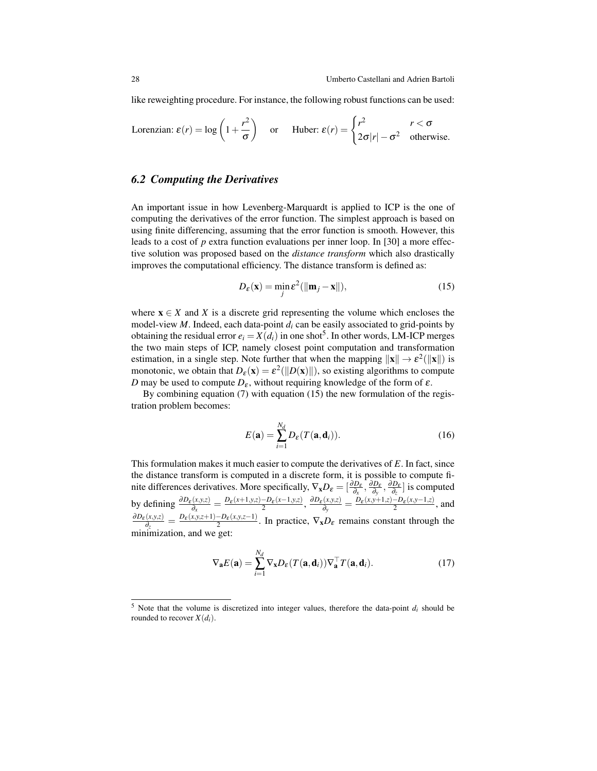like reweighting procedure. For instance, the following robust functions can be used:

Lorenzian: 
$$
\varepsilon(r) = \log\left(1 + \frac{r^2}{\sigma}\right)
$$
 or Huber:  $\varepsilon(r) = \begin{cases} r^2 & r < \sigma \\ 2\sigma |r| - \sigma^2 & \text{otherwise.} \end{cases}$ 

### *6.2 Computing the Derivatives*

An important issue in how Levenberg-Marquardt is applied to ICP is the one of computing the derivatives of the error function. The simplest approach is based on using finite differencing, assuming that the error function is smooth. However, this leads to a cost of *p* extra function evaluations per inner loop. In [30] a more effective solution was proposed based on the *distance transform* which also drastically improves the computational efficiency. The distance transform is defined as:

$$
D_{\varepsilon}(\mathbf{x}) = \min_{j} \varepsilon^{2}(\|\mathbf{m}_{j} - \mathbf{x}\|),
$$
 (15)

where  $x \in X$  and X is a discrete grid representing the volume which encloses the model-view *M*. Indeed, each data-point  $d_i$  can be easily associated to grid-points by obtaining the residual error  $e_i = X(d_i)$  in one shot<sup>5</sup>. In other words, LM-ICP merges the two main steps of ICP, namely closest point computation and transformation estimation, in a single step. Note further that when the mapping  $\|\mathbf{x}\| \to \varepsilon^2(\|\mathbf{x}\|)$  is monotonic, we obtain that  $D_{\varepsilon}(\mathbf{x}) = \varepsilon^2(||D(\mathbf{x})||)$ , so existing algorithms to compute *D* may be used to compute  $D_{\varepsilon}$ , without requiring knowledge of the form of  $\varepsilon$ .

By combining equation (7) with equation (15) the new formulation of the registration problem becomes:

$$
E(\mathbf{a}) = \sum_{i=1}^{N_d} D_{\varepsilon}(T(\mathbf{a}, \mathbf{d}_i)).
$$
 (16)

This formulation makes it much easier to compute the derivatives of *E*. In fact, since the distance transform is computed in a discrete form, it is possible to compute finite differences derivatives. More specifically,  $\nabla_{\mathbf{x}}D_{\varepsilon} = \left[\frac{\partial D_{\varepsilon}}{\partial_{x}}, \frac{\partial D_{\varepsilon}}{\partial_{y}}, \frac{\partial D_{\varepsilon}}{\partial_{z}}\right]$  is computed by defining  $\frac{\partial D_{\varepsilon}(x,y,z)}{\partial x} = \frac{D_{\varepsilon}(x+1,y,z)-D_{\varepsilon}(x-1,y,z)}{2}$ ,  $\frac{\partial D_{\varepsilon}(x,y,z)}{\partial y} = \frac{D_{\varepsilon}(x,y+1,z)-D_{\varepsilon}(x,y-1,z)}{2}$ , and  $\frac{\partial D_{\varepsilon}(x,y,z)}{\partial z} = \frac{D_{\varepsilon}(x,y,z+1)-D_{\varepsilon}(x,y,z-1)}{2}$ . In practice,  $\nabla_{\mathbf{x}}D_{\varepsilon}$  remains constant through the minimization, and we get:

$$
\nabla_{\mathbf{a}} E(\mathbf{a}) = \sum_{i=1}^{N_d} \nabla_{\mathbf{x}} D_{\varepsilon}(T(\mathbf{a}, \mathbf{d}_i)) \nabla_{\mathbf{a}}^{\top} T(\mathbf{a}, \mathbf{d}_i).
$$
 (17)

 $5$  Note that the volume is discretized into integer values, therefore the data-point  $d_i$  should be rounded to recover  $X(d_i)$ .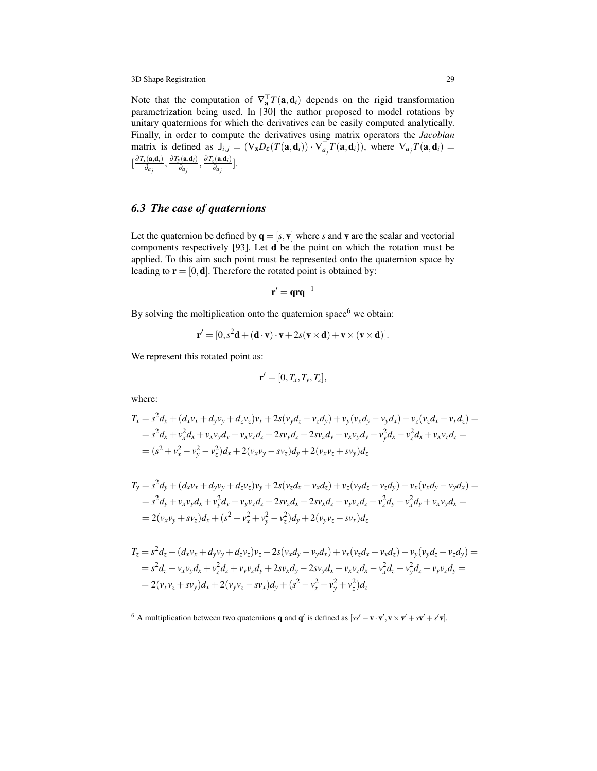Note that the computation of  $\nabla_{\mathbf{a}}^{\top}T(\mathbf{a},\mathbf{d}_i)$  depends on the rigid transformation parametrization being used. In [30] the author proposed to model rotations by unitary quaternions for which the derivatives can be easily computed analytically. Finally, in order to compute the derivatives using matrix operators the *Jacobian* matrix is defined as  $J_{i,j} = (\nabla_{\mathbf{x}} D_{\varepsilon}(T(\mathbf{a}, \mathbf{d}_i)) \cdot \nabla_{a_j}^{\top} T(\mathbf{a}, \mathbf{d}_i))$ , where  $\nabla_{a_j} T(\mathbf{a}, \mathbf{d}_i) =$  $\int \frac{\partial T_x(\mathbf{a},\mathbf{d}_i)}{\partial}$  $\frac{\partial \overline{T_{\rm y}({\bf a},{\bf d}_i)}}{\partial a_j}, \frac{\partial \overline{T_{\rm y}({\bf a},{\bf d}_i)}}{\partial a_j}$  $\frac{\partial \overline{d_z}(\mathbf{a},\mathbf{d}_i)}{\partial_{a_j}}, \frac{\partial \overline{T_z}(\mathbf{a},\mathbf{d}_i)}{\partial_{a_j}}$  $\frac{\partial}{\partial a_j}$ .

## *6.3 The case of quaternions*

Let the quaternion be defined by  $\mathbf{q} = [s, v]$  where *s* and **v** are the scalar and vectorial components respectively [93]. Let d be the point on which the rotation must be applied. To this aim such point must be represented onto the quaternion space by leading to  $\mathbf{r} = [0, \mathbf{d}]$ . Therefore the rotated point is obtained by:

$$
\mathbf{r}' = \mathbf{q} \mathbf{r} \mathbf{q}^{-1}
$$

By solving the moltiplication onto the quaternion space $6$  we obtain:

$$
\mathbf{r}' = [0, s^2\mathbf{d} + (\mathbf{d} \cdot \mathbf{v}) \cdot \mathbf{v} + 2s(\mathbf{v} \times \mathbf{d}) + \mathbf{v} \times (\mathbf{v} \times \mathbf{d})].
$$

We represent this rotated point as:

$$
\mathbf{r}' = [0, T_x, T_y, T_z],
$$

where:

$$
T_x = s^2 d_x + (d_x v_x + d_y v_y + d_z v_z) v_x + 2s (v_y d_z - v_z d_y) + v_y (v_x d_y - v_y d_x) - v_z (v_z d_x - v_x d_z) =
$$
  
=  $s^2 d_x + v_x^2 d_x + v_x v_y d_y + v_x v_z d_z + 2s v_y d_z - 2s v_z d_y + v_x v_y d_y - v_y^2 d_x - v_z^2 d_x + v_x v_z d_z =$   
=  $(s^2 + v_x^2 - v_y^2 - v_z^2) d_x + 2 (v_x v_y - s v_z) d_y + 2 (v_x v_z + s v_y) d_z$ 

$$
T_y = s^2 d_y + (d_x v_x + d_y v_y + d_z v_z) v_y + 2s (v_z d_x - v_x d_z) + v_z (v_y d_z - v_z d_y) - v_x (v_x d_y - v_y d_x) =
$$
  
=  $s^2 d_y + v_x v_y d_x + v_y^2 d_y + v_y v_z d_z + 2s v_z d_x - 2s v_x d_z + v_y v_z d_z - v_z^2 d_y - v_x^2 d_y + v_x v_y d_x =$   
=  $2 (v_x v_y + s v_z) d_x + (s^2 - v_x^2 + v_y^2 - v_z^2) d_y + 2 (v_y v_z - s v_x) d_z$ 

$$
T_z = s^2 d_z + (d_x v_x + d_y v_y + d_z v_z)v_z + 2s(v_x d_y - v_y d_x) + v_x(v_z d_x - v_x d_z) - v_y(v_y d_z - v_z d_y) =
$$
  
\n
$$
= s^2 d_z + v_x v_y d_x + v_z^2 d_z + v_y v_z d_y + 2s v_x d_y - 2s v_y d_x + v_x v_z d_x - v_x^2 d_z - v_y^2 d_z + v_y v_z d_y =
$$
  
\n
$$
= 2(v_x v_z + s v_y) d_x + 2(v_y v_z - s v_x) d_y + (s^2 - v_x^2 - v_y^2 + v_z^2) d_z
$$

<sup>&</sup>lt;sup>6</sup> A multiplication between two quaternions **q** and **q**' is defined as  $[ss'-v \cdot v', v \times v' + s v' + s' v].$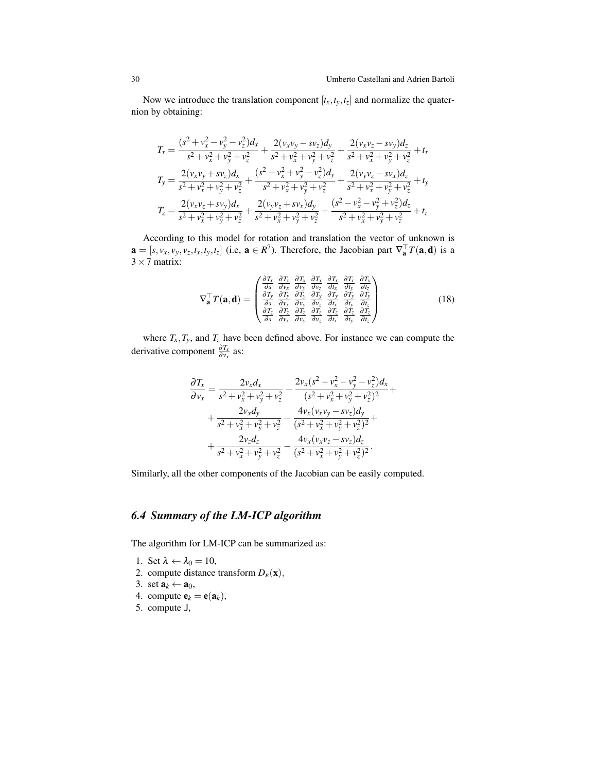Now we introduce the translation component  $[t_x, t_y, t_z]$  and normalize the quaternion by obtaining:

$$
T_x = \frac{(s^2 + v_x^2 - v_y^2 - v_z^2) d_x}{s^2 + v_x^2 + v_y^2 + v_z^2} + \frac{2(v_x v_y - s v_z) d_y}{s^2 + v_x^2 + v_y^2 + v_z^2} + \frac{2(v_x v_z - s v_y) d_z}{s^2 + v_x^2 + v_y^2 + v_z^2} + t_x
$$
  
\n
$$
T_y = \frac{2(v_x v_y + s v_z) d_x}{s^2 + v_x^2 + v_y^2 + v_z^2} + \frac{(s^2 - v_x^2 + v_y^2 - v_z^2) d_y}{s^2 + v_x^2 + v_y^2 + v_z^2} + \frac{2(v_y v_z - s v_x) d_z}{s^2 + v_x^2 + v_y^2 + v_z^2} + t_y
$$
  
\n
$$
T_z = \frac{2(v_x v_z + s v_y) d_x}{s^2 + v_x^2 + v_y^2 + v_z^2} + \frac{2(v_y v_z + s v_x) d_y}{s^2 + v_x^2 + v_y^2 + v_z^2} + \frac{(s^2 - v_x^2 - v_y^2 + v_z^2) d_z}{s^2 + v_x^2 + v_y^2 + v_z^2} + t_z
$$

According to this model for rotation and translation the vector of unknown is  $\mathbf{a} = [s, v_x, v_y, v_z, t_x, t_y, t_z]$  (i.e,  $\mathbf{a} \in R^7$ ). Therefore, the Jacobian part  $\nabla_{\mathbf{a}}^T T(\mathbf{a}, \mathbf{d})$  is a  $3 \times 7$  matrix:

$$
\nabla_{\mathbf{a}}^{\top} T(\mathbf{a}, \mathbf{d}) = \begin{pmatrix}\n\frac{\partial T_x}{\partial s} & \frac{\partial T_x}{\partial v_x} & \frac{\partial T_x}{\partial v_y} & \frac{\partial T_x}{\partial t_x} & \frac{\partial T_x}{\partial t_y} & \frac{\partial T_x}{\partial t_z} \\
\frac{\partial T_y}{\partial s} & \frac{\partial T_y}{\partial v_x} & \frac{\partial T_y}{\partial v_y} & \frac{\partial T_y}{\partial t_y} & \frac{\partial T_y}{\partial t_y} & \frac{\partial T_y}{\partial t_z} \\
\frac{\partial T_z}{\partial s} & \frac{\partial T_z}{\partial v_x} & \frac{\partial T_z}{\partial v_z} & \frac{\partial T_z}{\partial t_z} & \frac{\partial T_z}{\partial t_y} & \frac{\partial T_z}{\partial t_z}\n\end{pmatrix}
$$
(18)

where  $T_x, T_y$ , and  $T_z$  have been defined above. For instance we can compute the derivative component  $\frac{\partial T_x}{\partial v_x}$  as:

$$
\frac{\partial T_x}{\partial v_x} = \frac{2v_x d_x}{s^2 + v_x^2 + v_y^2 + v_z^2} - \frac{2v_x (s^2 + v_x^2 - v_y^2 - v_z^2) d_x}{(s^2 + v_x^2 + v_y^2 + v_z^2)^2} + \n+ \frac{2v_x d_y}{s^2 + v_x^2 + v_y^2 + v_z^2} - \frac{4v_x (v_x v_y - s v_z) d_y}{(s^2 + v_x^2 + v_y^2 + v_z^2)^2} + \n+ \frac{2v_z d_z}{s^2 + v_x^2 + v_y^2 + v_z^2} - \frac{4v_x (v_x v_z - s v_z) d_z}{(s^2 + v_x^2 + v_y^2 + v_z^2)^2}.
$$

Similarly, all the other components of the Jacobian can be easily computed.

## *6.4 Summary of the LM-ICP algorithm*

The algorithm for LM-ICP can be summarized as:

- 1. Set  $\lambda \leftarrow \lambda_0 = 10$ ,
- 2. compute distance transform  $D_{\varepsilon}(\mathbf{x}),$
- 3. set  $\mathbf{a}_k \leftarrow \mathbf{a}_0$ ,
- 4. compute  $\mathbf{e}_k = \mathbf{e}(\mathbf{a}_k)$ ,
- 5. compute J,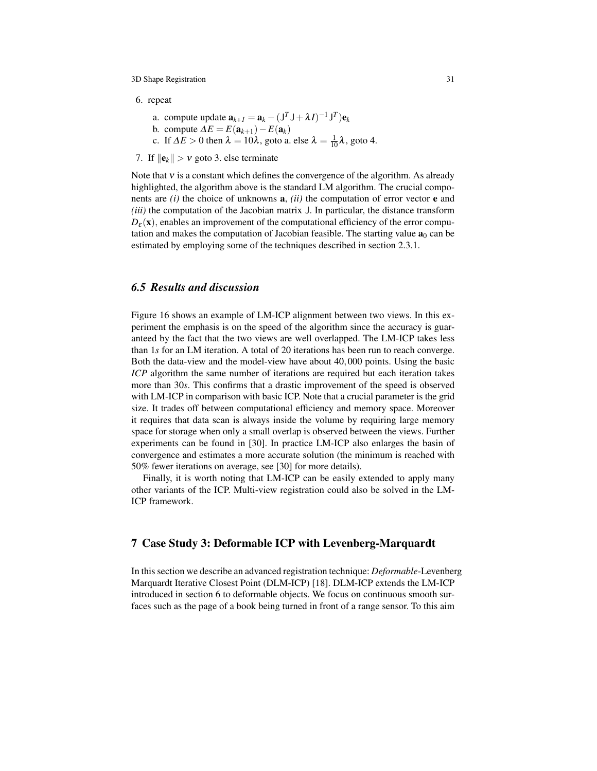6. repeat

- a. compute update  $\mathbf{a}_{k+1} = \mathbf{a}_k (\mathbf{J}^T \mathbf{J} + \lambda \mathbf{I})^{-1} \mathbf{J}^T \mathbf{e}_k$ **b.** compute  $\Delta E = E(\mathbf{a}_{k+1}) - E(\mathbf{a}_k)$
- c. If  $\Delta E > 0$  then  $\lambda = 10\lambda$ , goto a. else  $\lambda = \frac{1}{10}\lambda$ , goto 4.
- 7. If  $\|\mathbf{e}_k\| > v$  goto 3. else terminate

Note that  $v$  is a constant which defines the convergence of the algorithm. As already highlighted, the algorithm above is the standard LM algorithm. The crucial components are *(i)* the choice of unknowns a, *(ii)* the computation of error vector e and *(iii)* the computation of the Jacobian matrix J. In particular, the distance transform  $D_{\epsilon}(\mathbf{x})$ , enables an improvement of the computational efficiency of the error computation and makes the computation of Jacobian feasible. The starting value  $a_0$  can be estimated by employing some of the techniques described in section 2.3.1.

### *6.5 Results and discussion*

Figure 16 shows an example of LM-ICP alignment between two views. In this experiment the emphasis is on the speed of the algorithm since the accuracy is guaranteed by the fact that the two views are well overlapped. The LM-ICP takes less than 1*s* for an LM iteration. A total of 20 iterations has been run to reach converge. Both the data-view and the model-view have about 40,000 points. Using the basic *ICP* algorithm the same number of iterations are required but each iteration takes more than 30*s*. This confirms that a drastic improvement of the speed is observed with LM-ICP in comparison with basic ICP. Note that a crucial parameter is the grid size. It trades off between computational efficiency and memory space. Moreover it requires that data scan is always inside the volume by requiring large memory space for storage when only a small overlap is observed between the views. Further experiments can be found in [30]. In practice LM-ICP also enlarges the basin of convergence and estimates a more accurate solution (the minimum is reached with 50% fewer iterations on average, see [30] for more details).

Finally, it is worth noting that LM-ICP can be easily extended to apply many other variants of the ICP. Multi-view registration could also be solved in the LM-ICP framework.

## 7 Case Study 3: Deformable ICP with Levenberg-Marquardt

In this section we describe an advanced registration technique: *Deformable*-Levenberg Marquardt Iterative Closest Point (DLM-ICP) [18]. DLM-ICP extends the LM-ICP introduced in section 6 to deformable objects. We focus on continuous smooth surfaces such as the page of a book being turned in front of a range sensor. To this aim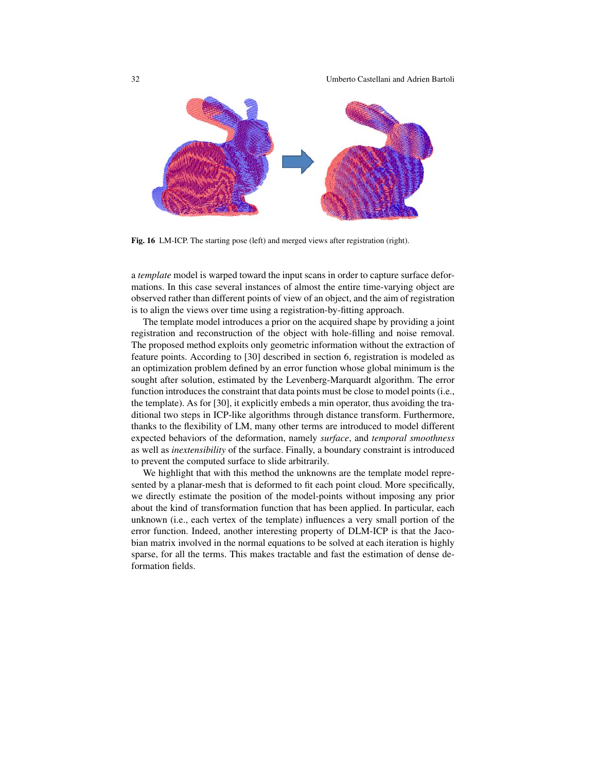32 Umberto Castellani and Adrien Bartoli



Fig. 16 LM-ICP. The starting pose (left) and merged views after registration (right).

a *template* model is warped toward the input scans in order to capture surface deformations. In this case several instances of almost the entire time-varying object are observed rather than different points of view of an object, and the aim of registration is to align the views over time using a registration-by-fitting approach.

The template model introduces a prior on the acquired shape by providing a joint registration and reconstruction of the object with hole-filling and noise removal. The proposed method exploits only geometric information without the extraction of feature points. According to [30] described in section 6, registration is modeled as an optimization problem defined by an error function whose global minimum is the sought after solution, estimated by the Levenberg-Marquardt algorithm. The error function introduces the constraint that data points must be close to model points (i.e., the template). As for [30], it explicitly embeds a min operator, thus avoiding the traditional two steps in ICP-like algorithms through distance transform. Furthermore, thanks to the flexibility of LM, many other terms are introduced to model different expected behaviors of the deformation, namely *surface*, and *temporal smoothness* as well as *inextensibility* of the surface. Finally, a boundary constraint is introduced to prevent the computed surface to slide arbitrarily.

We highlight that with this method the unknowns are the template model represented by a planar-mesh that is deformed to fit each point cloud. More specifically, we directly estimate the position of the model-points without imposing any prior about the kind of transformation function that has been applied. In particular, each unknown (i.e., each vertex of the template) influences a very small portion of the error function. Indeed, another interesting property of DLM-ICP is that the Jacobian matrix involved in the normal equations to be solved at each iteration is highly sparse, for all the terms. This makes tractable and fast the estimation of dense deformation fields.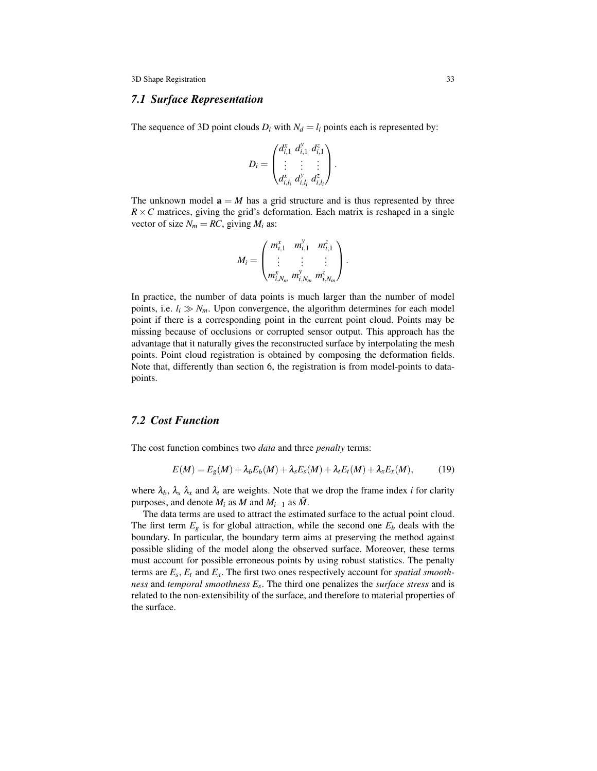### *7.1 Surface Representation*

The sequence of 3D point clouds  $D_i$  with  $N_d = l_i$  points each is represented by:

$$
D_i = \begin{pmatrix} d_{i,1}^x & d_{i,1}^y & d_{i,1}^z \\ \vdots & \vdots & \vdots \\ d_{i,l_i}^x & d_{i,l_i}^y & d_{i,l_i}^z \end{pmatrix}.
$$

The unknown model  $\mathbf{a} = M$  has a grid structure and is thus represented by three  $R \times C$  matrices, giving the grid's deformation. Each matrix is reshaped in a single vector of size  $N_m = RC$ , giving  $M_i$  as:

$$
M_i = \begin{pmatrix} m_{i,1}^x & m_{i,1}^y & m_{i,1}^z \\ \vdots & \vdots & \vdots \\ m_{i,N_m}^x & m_{i,N_m}^y & m_{i,N_m}^z \end{pmatrix}.
$$

In practice, the number of data points is much larger than the number of model points, i.e.  $l_i \gg N_m$ . Upon convergence, the algorithm determines for each model point if there is a corresponding point in the current point cloud. Points may be missing because of occlusions or corrupted sensor output. This approach has the advantage that it naturally gives the reconstructed surface by interpolating the mesh points. Point cloud registration is obtained by composing the deformation fields. Note that, differently than section 6, the registration is from model-points to datapoints.

### *7.2 Cost Function*

The cost function combines two *data* and three *penalty* terms:

$$
E(M) = E_g(M) + \lambda_b E_b(M) + \lambda_s E_s(M) + \lambda_t E_t(M) + \lambda_x E_x(M), \tag{19}
$$

where  $\lambda_b$ ,  $\lambda_s$ ,  $\lambda_x$  and  $\lambda_t$  are weights. Note that we drop the frame index *i* for clarity purposes, and denote  $M_i$  as  $M$  and  $M_{i-1}$  as  $\tilde{M}$ .

The data terms are used to attract the estimated surface to the actual point cloud. The first term  $E_g$  is for global attraction, while the second one  $E_b$  deals with the boundary. In particular, the boundary term aims at preserving the method against possible sliding of the model along the observed surface. Moreover, these terms must account for possible erroneous points by using robust statistics. The penalty terms are *E<sup>s</sup>* , *E<sup>t</sup>* and *Ex*. The first two ones respectively account for *spatial smoothness* and *temporal smoothness E<sup>s</sup>* . The third one penalizes the *surface stress* and is related to the non-extensibility of the surface, and therefore to material properties of the surface.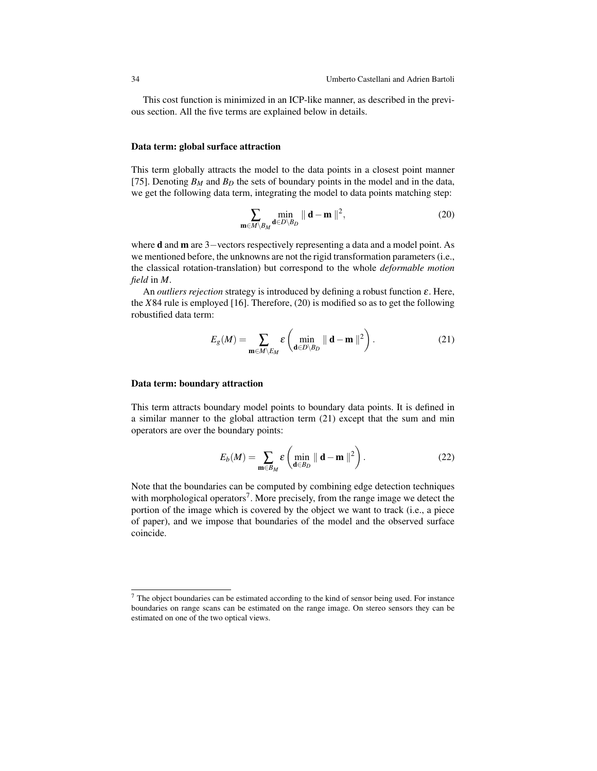This cost function is minimized in an ICP-like manner, as described in the previous section. All the five terms are explained below in details.

### Data term: global surface attraction

This term globally attracts the model to the data points in a closest point manner [75]. Denoting  $B_M$  and  $B_D$  the sets of boundary points in the model and in the data, we get the following data term, integrating the model to data points matching step:

$$
\sum_{\mathbf{m}\in M\setminus B_M} \min_{\mathbf{d}\in D\setminus B_D} \|\mathbf{d} - \mathbf{m}\|^2,\tag{20}
$$

where d and m are 3−vectors respectively representing a data and a model point. As we mentioned before, the unknowns are not the rigid transformation parameters (i.e., the classical rotation-translation) but correspond to the whole *deformable motion field* in *M*.

An *outliers rejection* strategy is introduced by defining a robust function ε. Here, the *X*84 rule is employed [16]. Therefore, (20) is modified so as to get the following robustified data term:

$$
E_g(M) = \sum_{\mathbf{m} \in M \setminus E_M} \varepsilon \left( \min_{\mathbf{d} \in D \setminus B_D} \| \mathbf{d} - \mathbf{m} \|^2 \right). \tag{21}
$$

### Data term: boundary attraction

This term attracts boundary model points to boundary data points. It is defined in a similar manner to the global attraction term (21) except that the sum and min operators are over the boundary points:

$$
E_b(M) = \sum_{\mathbf{m} \in B_M} \varepsilon \left( \min_{\mathbf{d} \in B_D} \|\mathbf{d} - \mathbf{m}\|^2 \right).
$$
 (22)

Note that the boundaries can be computed by combining edge detection techniques with morphological operators<sup>7</sup>. More precisely, from the range image we detect the portion of the image which is covered by the object we want to track (i.e., a piece of paper), and we impose that boundaries of the model and the observed surface coincide.

<sup>7</sup> The object boundaries can be estimated according to the kind of sensor being used. For instance boundaries on range scans can be estimated on the range image. On stereo sensors they can be estimated on one of the two optical views.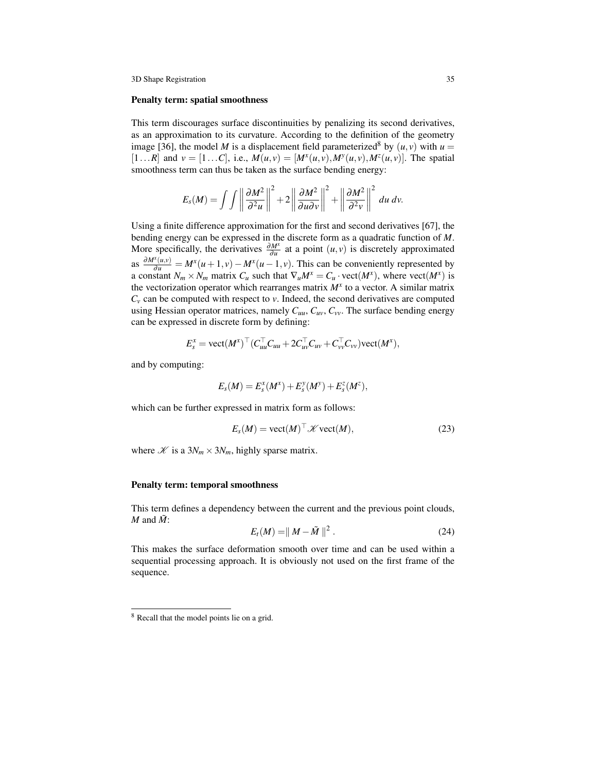### Penalty term: spatial smoothness

This term discourages surface discontinuities by penalizing its second derivatives, as an approximation to its curvature. According to the definition of the geometry image [36], the model *M* is a displacement field parameterized<sup>8</sup> by  $(u, v)$  with  $u =$  $[1...R]$  and  $v = [1...C]$ , i.e.,  $M(u, v) = [M^x(u, v), M^y(u, v), M^z(u, v)]$ . The spatial smoothness term can thus be taken as the surface bending energy:

$$
E_s(M) = \int \int \left\| \frac{\partial M^2}{\partial^2 u} \right\|^2 + 2 \left\| \frac{\partial M^2}{\partial u \partial v} \right\|^2 + \left\| \frac{\partial M^2}{\partial^2 v} \right\|^2 du \ dv.
$$

Using a finite difference approximation for the first and second derivatives [67], the bending energy can be expressed in the discrete form as a quadratic function of *M*. More specifically, the derivatives  $\frac{\partial M^x}{\partial u}$  at a point  $(u, v)$  is discretely approximated as  $\frac{\partial M^x(u,v)}{\partial u} = M^x(u+1,v) - M^x(u-1,v)$ . This can be conveniently represented by a constant  $N_m \times N_m$  matrix  $C_u$  such that  $\nabla_u M^x = C_u \cdot \text{vect}(M^x)$ , where  $\text{vect}(M^x)$  is the vectorization operator which rearranges matrix  $M^x$  to a vector. A similar matrix  $C<sub>v</sub>$  can be computed with respect to *v*. Indeed, the second derivatives are computed using Hessian operator matrices, namely *Cuu*, *Cuv*, *Cvv*. The surface bending energy can be expressed in discrete form by defining:

$$
E_s^x = \text{vect}(M^x)^\top (C_{uu}^\top C_{uu} + 2C_{uv}^\top C_{uv} + C_{vv}^\top C_{vv}) \text{vect}(M^x),
$$

and by computing:

$$
E_s(M) = E_s^x(M^x) + E_s^y(M^y) + E_s^z(M^z),
$$

which can be further expressed in matrix form as follows:

$$
E_s(M) = \text{vect}(M)^\top \mathcal{K} \text{vect}(M),\tag{23}
$$

where  $\mathcal{K}$  is a  $3N_m \times 3N_m$ , highly sparse matrix.

#### Penalty term: temporal smoothness

This term defines a dependency between the current and the previous point clouds, *M* and  $\tilde{M}$ :

$$
E_t(M) = ||M - \tilde{M}||^2. \qquad (24)
$$

This makes the surface deformation smooth over time and can be used within a sequential processing approach. It is obviously not used on the first frame of the sequence.

<sup>8</sup> Recall that the model points lie on a grid.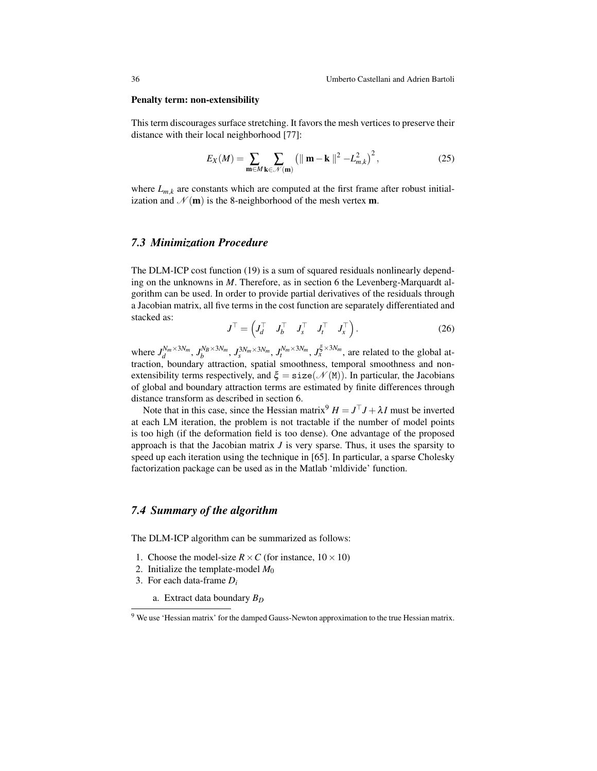#### Penalty term: non-extensibility

This term discourages surface stretching. It favors the mesh vertices to preserve their distance with their local neighborhood [77]:

$$
E_X(M) = \sum_{\mathbf{m} \in M} \sum_{\mathbf{k} \in \mathcal{N}(\mathbf{m})} \left( ||\mathbf{m} - \mathbf{k}||^2 - L_{m,k}^2 \right)^2, \tag{25}
$$

where  $L_{m,k}$  are constants which are computed at the first frame after robust initialization and  $\mathcal{N}(\mathbf{m})$  is the 8-neighborhood of the mesh vertex **m**.

## *7.3 Minimization Procedure*

The DLM-ICP cost function (19) is a sum of squared residuals nonlinearly depending on the unknowns in *M*. Therefore, as in section 6 the Levenberg-Marquardt algorithm can be used. In order to provide partial derivatives of the residuals through a Jacobian matrix, all five terms in the cost function are separately differentiated and stacked as:

$$
J^{\top} = \begin{pmatrix} J_d^{\top} & J_b^{\top} & J_s^{\top} & J_t^{\top} & J_x^{\top} \end{pmatrix}.
$$
 (26)

where  $J_d^{N_m \times 3N_m}$ ,  $J_b^{N_B \times 3N_m}$ ,  $J_s^{3N_m \times 3N_m}$ ,  $J_t^{N_m \times 3N_m}$ ,  $J_x^{\xi \times 3N_m}$ , are related to the global attraction, boundary attraction, spatial smoothness, temporal smoothness and nonextensibility terms respectively, and  $\xi = \text{size}(\mathcal{N}(M))$ . In particular, the Jacobians of global and boundary attraction terms are estimated by finite differences through distance transform as described in section 6.

Note that in this case, since the Hessian matrix<sup>9</sup>  $H = J^{\top}J + \lambda I$  must be inverted at each LM iteration, the problem is not tractable if the number of model points is too high (if the deformation field is too dense). One advantage of the proposed approach is that the Jacobian matrix  $J$  is very sparse. Thus, it uses the sparsity to speed up each iteration using the technique in [65]. In particular, a sparse Cholesky factorization package can be used as in the Matlab 'mldivide' function.

### *7.4 Summary of the algorithm*

The DLM-ICP algorithm can be summarized as follows:

- 1. Choose the model-size  $R \times C$  (for instance,  $10 \times 10$ )
- 2. Initialize the template-model  $M_0$
- 3. For each data-frame *D<sup>i</sup>*

a. Extract data boundary  $B_D$ 

<sup>&</sup>lt;sup>9</sup> We use 'Hessian matrix' for the damped Gauss-Newton approximation to the true Hessian matrix.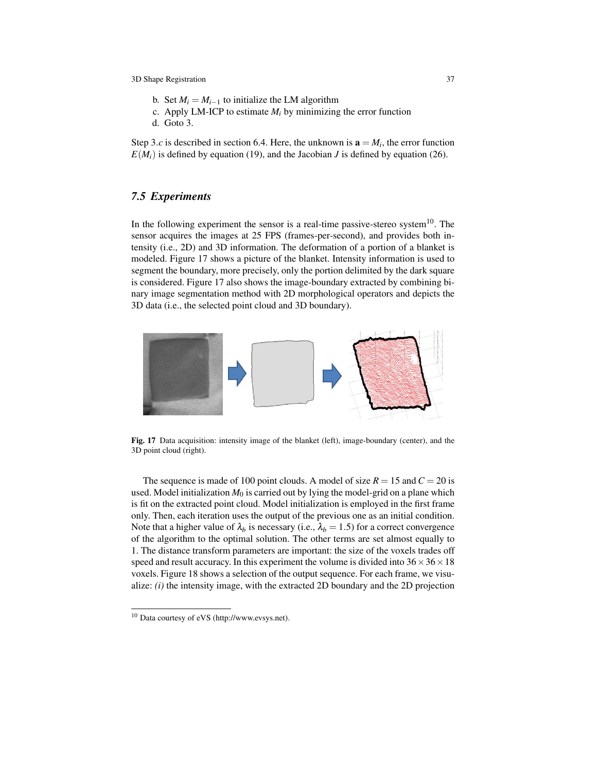- b. Set  $M_i = M_{i-1}$  to initialize the LM algorithm
- c. Apply LM-ICP to estimate  $M_i$  by minimizing the error function
- d. Goto 3.

Step 3.*c* is described in section 6.4. Here, the unknown is  $\mathbf{a} = M_i$ , the error function  $E(M_i)$  is defined by equation (19), and the Jacobian *J* is defined by equation (26).

## *7.5 Experiments*

In the following experiment the sensor is a real-time passive-stereo system $10$ . The sensor acquires the images at 25 FPS (frames-per-second), and provides both intensity (i.e., 2D) and 3D information. The deformation of a portion of a blanket is modeled. Figure 17 shows a picture of the blanket. Intensity information is used to segment the boundary, more precisely, only the portion delimited by the dark square is considered. Figure 17 also shows the image-boundary extracted by combining binary image segmentation method with 2D morphological operators and depicts the 3D data (i.e., the selected point cloud and 3D boundary).



Fig. 17 Data acquisition: intensity image of the blanket (left), image-boundary (center), and the 3D point cloud (right).

The sequence is made of 100 point clouds. A model of size  $R = 15$  and  $C = 20$  is used. Model initialization  $M_0$  is carried out by lying the model-grid on a plane which is fit on the extracted point cloud. Model initialization is employed in the first frame only. Then, each iteration uses the output of the previous one as an initial condition. Note that a higher value of  $\lambda_b$  is necessary (i.e.,  $\lambda_b = 1.5$ ) for a correct convergence of the algorithm to the optimal solution. The other terms are set almost equally to 1. The distance transform parameters are important: the size of the voxels trades off speed and result accuracy. In this experiment the volume is divided into  $36 \times 36 \times 18$ voxels. Figure 18 shows a selection of the output sequence. For each frame, we visualize: *(i)* the intensity image, with the extracted 2D boundary and the 2D projection

<sup>10</sup> Data courtesy of eVS (http://www.evsys.net).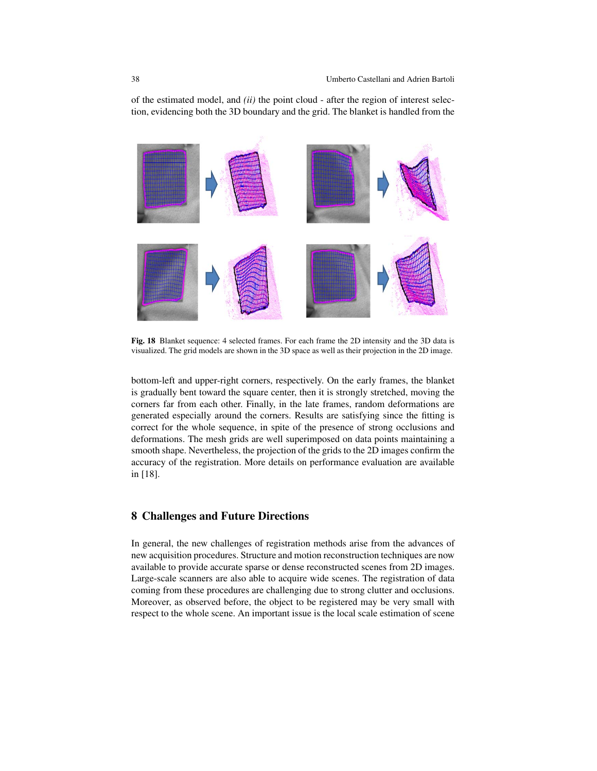of the estimated model, and *(ii)* the point cloud - after the region of interest selection, evidencing both the 3D boundary and the grid. The blanket is handled from the



Fig. 18 Blanket sequence: 4 selected frames. For each frame the 2D intensity and the 3D data is visualized. The grid models are shown in the 3D space as well as their projection in the 2D image.

bottom-left and upper-right corners, respectively. On the early frames, the blanket is gradually bent toward the square center, then it is strongly stretched, moving the corners far from each other. Finally, in the late frames, random deformations are generated especially around the corners. Results are satisfying since the fitting is correct for the whole sequence, in spite of the presence of strong occlusions and deformations. The mesh grids are well superimposed on data points maintaining a smooth shape. Nevertheless, the projection of the grids to the 2D images confirm the accuracy of the registration. More details on performance evaluation are available in [18].

### 8 Challenges and Future Directions

In general, the new challenges of registration methods arise from the advances of new acquisition procedures. Structure and motion reconstruction techniques are now available to provide accurate sparse or dense reconstructed scenes from 2D images. Large-scale scanners are also able to acquire wide scenes. The registration of data coming from these procedures are challenging due to strong clutter and occlusions. Moreover, as observed before, the object to be registered may be very small with respect to the whole scene. An important issue is the local scale estimation of scene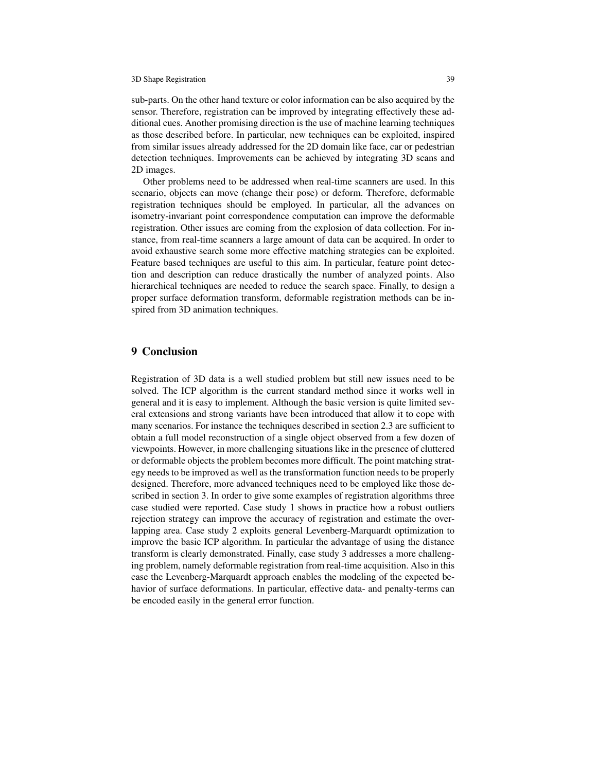sub-parts. On the other hand texture or color information can be also acquired by the sensor. Therefore, registration can be improved by integrating effectively these additional cues. Another promising direction is the use of machine learning techniques as those described before. In particular, new techniques can be exploited, inspired from similar issues already addressed for the 2D domain like face, car or pedestrian detection techniques. Improvements can be achieved by integrating 3D scans and 2D images.

Other problems need to be addressed when real-time scanners are used. In this scenario, objects can move (change their pose) or deform. Therefore, deformable registration techniques should be employed. In particular, all the advances on isometry-invariant point correspondence computation can improve the deformable registration. Other issues are coming from the explosion of data collection. For instance, from real-time scanners a large amount of data can be acquired. In order to avoid exhaustive search some more effective matching strategies can be exploited. Feature based techniques are useful to this aim. In particular, feature point detection and description can reduce drastically the number of analyzed points. Also hierarchical techniques are needed to reduce the search space. Finally, to design a proper surface deformation transform, deformable registration methods can be inspired from 3D animation techniques.

### 9 Conclusion

Registration of 3D data is a well studied problem but still new issues need to be solved. The ICP algorithm is the current standard method since it works well in general and it is easy to implement. Although the basic version is quite limited several extensions and strong variants have been introduced that allow it to cope with many scenarios. For instance the techniques described in section 2.3 are sufficient to obtain a full model reconstruction of a single object observed from a few dozen of viewpoints. However, in more challenging situations like in the presence of cluttered or deformable objects the problem becomes more difficult. The point matching strategy needs to be improved as well as the transformation function needs to be properly designed. Therefore, more advanced techniques need to be employed like those described in section 3. In order to give some examples of registration algorithms three case studied were reported. Case study 1 shows in practice how a robust outliers rejection strategy can improve the accuracy of registration and estimate the overlapping area. Case study 2 exploits general Levenberg-Marquardt optimization to improve the basic ICP algorithm. In particular the advantage of using the distance transform is clearly demonstrated. Finally, case study 3 addresses a more challenging problem, namely deformable registration from real-time acquisition. Also in this case the Levenberg-Marquardt approach enables the modeling of the expected behavior of surface deformations. In particular, effective data- and penalty-terms can be encoded easily in the general error function.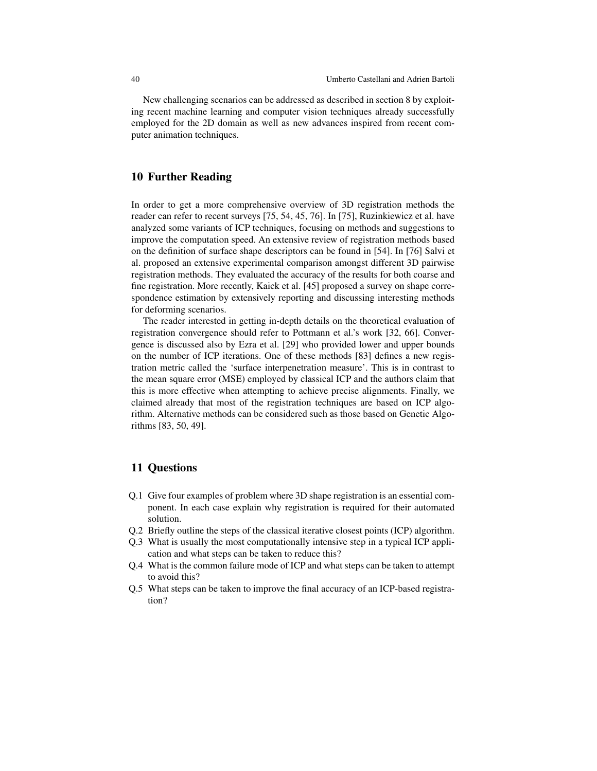New challenging scenarios can be addressed as described in section 8 by exploiting recent machine learning and computer vision techniques already successfully employed for the 2D domain as well as new advances inspired from recent computer animation techniques.

## 10 Further Reading

In order to get a more comprehensive overview of 3D registration methods the reader can refer to recent surveys [75, 54, 45, 76]. In [75], Ruzinkiewicz et al. have analyzed some variants of ICP techniques, focusing on methods and suggestions to improve the computation speed. An extensive review of registration methods based on the definition of surface shape descriptors can be found in [54]. In [76] Salvi et al. proposed an extensive experimental comparison amongst different 3D pairwise registration methods. They evaluated the accuracy of the results for both coarse and fine registration. More recently, Kaick et al. [45] proposed a survey on shape correspondence estimation by extensively reporting and discussing interesting methods for deforming scenarios.

The reader interested in getting in-depth details on the theoretical evaluation of registration convergence should refer to Pottmann et al.'s work [32, 66]. Convergence is discussed also by Ezra et al. [29] who provided lower and upper bounds on the number of ICP iterations. One of these methods [83] defines a new registration metric called the 'surface interpenetration measure'. This is in contrast to the mean square error (MSE) employed by classical ICP and the authors claim that this is more effective when attempting to achieve precise alignments. Finally, we claimed already that most of the registration techniques are based on ICP algorithm. Alternative methods can be considered such as those based on Genetic Algorithms [83, 50, 49].

## 11 Questions

- Q.1 Give four examples of problem where 3D shape registration is an essential component. In each case explain why registration is required for their automated solution.
- Q.2 Briefly outline the steps of the classical iterative closest points (ICP) algorithm.
- Q.3 What is usually the most computationally intensive step in a typical ICP application and what steps can be taken to reduce this?
- Q.4 What is the common failure mode of ICP and what steps can be taken to attempt to avoid this?
- Q.5 What steps can be taken to improve the final accuracy of an ICP-based registration?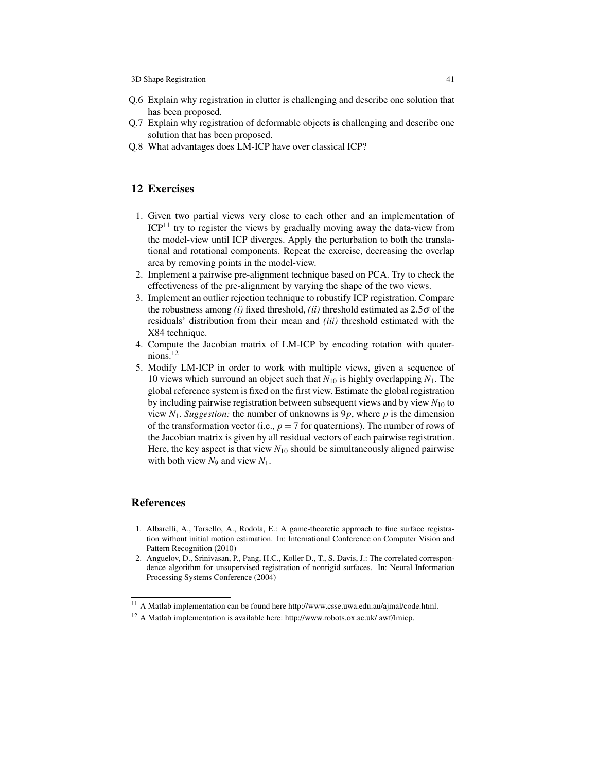- Q.6 Explain why registration in clutter is challenging and describe one solution that has been proposed.
- Q.7 Explain why registration of deformable objects is challenging and describe one solution that has been proposed.
- Q.8 What advantages does LM-ICP have over classical ICP?

## 12 Exercises

- 1. Given two partial views very close to each other and an implementation of ICP<sup>11</sup> try to register the views by gradually moving away the data-view from the model-view until ICP diverges. Apply the perturbation to both the translational and rotational components. Repeat the exercise, decreasing the overlap area by removing points in the model-view.
- 2. Implement a pairwise pre-alignment technique based on PCA. Try to check the effectiveness of the pre-alignment by varying the shape of the two views.
- 3. Implement an outlier rejection technique to robustify ICP registration. Compare the robustness among  $(i)$  fixed threshold,  $(ii)$  threshold estimated as  $2.5\sigma$  of the residuals' distribution from their mean and *(iii)* threshold estimated with the X84 technique.
- 4. Compute the Jacobian matrix of LM-ICP by encoding rotation with quaternions.<sup>12</sup>
- 5. Modify LM-ICP in order to work with multiple views, given a sequence of 10 views which surround an object such that *N*<sup>10</sup> is highly overlapping *N*1. The global reference system is fixed on the first view. Estimate the global registration by including pairwise registration between subsequent views and by view *N*<sup>10</sup> to view  $N_1$ . *Suggestion:* the number of unknowns is 9p, where p is the dimension of the transformation vector (i.e.,  $p = 7$  for quaternions). The number of rows of the Jacobian matrix is given by all residual vectors of each pairwise registration. Here, the key aspect is that view  $N_{10}$  should be simultaneously aligned pairwise with both view  $N_9$  and view  $N_1$ .

## References

- 1. Albarelli, A., Torsello, A., Rodola, E.: A game-theoretic approach to fine surface registration without initial motion estimation. In: International Conference on Computer Vision and Pattern Recognition (2010)
- 2. Anguelov, D., Srinivasan, P., Pang, H.C., Koller D., T., S. Davis, J.: The correlated correspondence algorithm for unsupervised registration of nonrigid surfaces. In: Neural Information Processing Systems Conference (2004)

 $11$  A Matlab implementation can be found here http://www.csse.uwa.edu.au/ajmal/code.html.

<sup>12</sup> A Matlab implementation is available here: http://www.robots.ox.ac.uk/ awf/lmicp.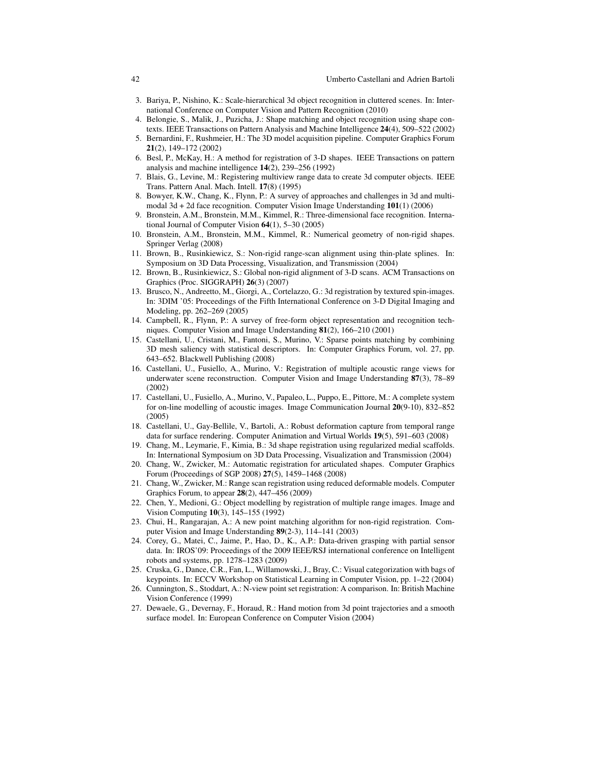- 3. Bariya, P., Nishino, K.: Scale-hierarchical 3d object recognition in cluttered scenes. In: International Conference on Computer Vision and Pattern Recognition (2010)
- 4. Belongie, S., Malik, J., Puzicha, J.: Shape matching and object recognition using shape contexts. IEEE Transactions on Pattern Analysis and Machine Intelligence 24(4), 509–522 (2002)
- 5. Bernardini, F., Rushmeier, H.: The 3D model acquisition pipeline. Computer Graphics Forum 21(2), 149–172 (2002)
- 6. Besl, P., McKay, H.: A method for registration of 3-D shapes. IEEE Transactions on pattern analysis and machine intelligence 14(2), 239–256 (1992)
- 7. Blais, G., Levine, M.: Registering multiview range data to create 3d computer objects. IEEE Trans. Pattern Anal. Mach. Intell. 17(8) (1995)
- 8. Bowyer, K.W., Chang, K., Flynn, P.: A survey of approaches and challenges in 3d and multimodal 3d + 2d face recognition. Computer Vision Image Understanding  $101(1)$  (2006)
- 9. Bronstein, A.M., Bronstein, M.M., Kimmel, R.: Three-dimensional face recognition. International Journal of Computer Vision  $64(1)$ , 5–30 (2005)
- 10. Bronstein, A.M., Bronstein, M.M., Kimmel, R.: Numerical geometry of non-rigid shapes. Springer Verlag (2008)
- 11. Brown, B., Rusinkiewicz, S.: Non-rigid range-scan alignment using thin-plate splines. In: Symposium on 3D Data Processing, Visualization, and Transmission (2004)
- 12. Brown, B., Rusinkiewicz, S.: Global non-rigid alignment of 3-D scans. ACM Transactions on Graphics (Proc. SIGGRAPH) 26(3) (2007)
- 13. Brusco, N., Andreetto, M., Giorgi, A., Cortelazzo, G.: 3d registration by textured spin-images. In: 3DIM '05: Proceedings of the Fifth International Conference on 3-D Digital Imaging and Modeling, pp. 262–269 (2005)
- 14. Campbell, R., Flynn, P.: A survey of free-form object representation and recognition techniques. Computer Vision and Image Understanding 81(2), 166–210 (2001)
- 15. Castellani, U., Cristani, M., Fantoni, S., Murino, V.: Sparse points matching by combining 3D mesh saliency with statistical descriptors. In: Computer Graphics Forum, vol. 27, pp. 643–652. Blackwell Publishing (2008)
- 16. Castellani, U., Fusiello, A., Murino, V.: Registration of multiple acoustic range views for underwater scene reconstruction. Computer Vision and Image Understanding 87(3), 78–89 (2002)
- 17. Castellani, U., Fusiello, A., Murino, V., Papaleo, L., Puppo, E., Pittore, M.: A complete system for on-line modelling of acoustic images. Image Communication Journal 20(9-10), 832–852 (2005)
- 18. Castellani, U., Gay-Bellile, V., Bartoli, A.: Robust deformation capture from temporal range data for surface rendering. Computer Animation and Virtual Worlds 19(5), 591–603 (2008)
- 19. Chang, M., Leymarie, F., Kimia, B.: 3d shape registration using regularized medial scaffolds. In: International Symposium on 3D Data Processing, Visualization and Transmission (2004)
- 20. Chang, W., Zwicker, M.: Automatic registration for articulated shapes. Computer Graphics Forum (Proceedings of SGP 2008) 27(5), 1459–1468 (2008)
- 21. Chang, W., Zwicker, M.: Range scan registration using reduced deformable models. Computer Graphics Forum, to appear 28(2), 447–456 (2009)
- 22. Chen, Y., Medioni, G.: Object modelling by registration of multiple range images. Image and Vision Computing 10(3), 145–155 (1992)
- 23. Chui, H., Rangarajan, A.: A new point matching algorithm for non-rigid registration. Computer Vision and Image Understanding 89(2-3), 114–141 (2003)
- 24. Corey, G., Matei, C., Jaime, P., Hao, D., K., A.P.: Data-driven grasping with partial sensor data. In: IROS'09: Proceedings of the 2009 IEEE/RSJ international conference on Intelligent robots and systems, pp. 1278–1283 (2009)
- 25. Cruska, G., Dance, C.R., Fan, L., Willamowski, J., Bray, C.: Visual categorization with bags of keypoints. In: ECCV Workshop on Statistical Learning in Computer Vision, pp. 1–22 (2004)
- 26. Cunnington, S., Stoddart, A.: N-view point set registration: A comparison. In: British Machine Vision Conference (1999)
- 27. Dewaele, G., Devernay, F., Horaud, R.: Hand motion from 3d point trajectories and a smooth surface model. In: European Conference on Computer Vision (2004)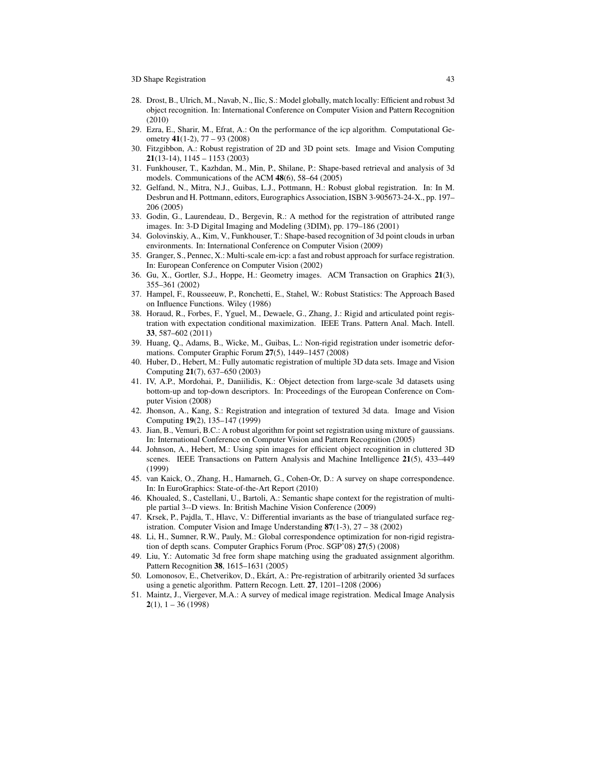- 28. Drost, B., Ulrich, M., Navab, N., Ilic, S.: Model globally, match locally: Efficient and robust 3d object recognition. In: International Conference on Computer Vision and Pattern Recognition (2010)
- 29. Ezra, E., Sharir, M., Efrat, A.: On the performance of the icp algorithm. Computational Geometry 41(1-2), 77 – 93 (2008)
- 30. Fitzgibbon, A.: Robust registration of 2D and 3D point sets. Image and Vision Computing 21(13-14), 1145 – 1153 (2003)
- 31. Funkhouser, T., Kazhdan, M., Min, P., Shilane, P.: Shape-based retrieval and analysis of 3d models. Communications of the ACM 48(6), 58–64 (2005)
- 32. Gelfand, N., Mitra, N.J., Guibas, L.J., Pottmann, H.: Robust global registration. In: In M. Desbrun and H. Pottmann, editors, Eurographics Association, ISBN 3-905673-24-X., pp. 197– 206 (2005)
- 33. Godin, G., Laurendeau, D., Bergevin, R.: A method for the registration of attributed range images. In: 3-D Digital Imaging and Modeling (3DIM), pp. 179–186 (2001)
- 34. Golovinskiy, A., Kim, V., Funkhouser, T.: Shape-based recognition of 3d point clouds in urban environments. In: International Conference on Computer Vision (2009)
- 35. Granger, S., Pennec, X.: Multi-scale em-icp: a fast and robust approach for surface registration. In: European Conference on Computer Vision (2002)
- 36. Gu, X., Gortler, S.J., Hoppe, H.: Geometry images. ACM Transaction on Graphics 21(3), 355–361 (2002)
- 37. Hampel, F., Rousseeuw, P., Ronchetti, E., Stahel, W.: Robust Statistics: The Approach Based on Influence Functions. Wiley (1986)
- 38. Horaud, R., Forbes, F., Yguel, M., Dewaele, G., Zhang, J.: Rigid and articulated point registration with expectation conditional maximization. IEEE Trans. Pattern Anal. Mach. Intell. 33, 587–602 (2011)
- 39. Huang, Q., Adams, B., Wicke, M., Guibas, L.: Non-rigid registration under isometric deformations. Computer Graphic Forum 27(5), 1449–1457 (2008)
- 40. Huber, D., Hebert, M.: Fully automatic registration of multiple 3D data sets. Image and Vision Computing 21(7), 637–650 (2003)
- 41. IV, A.P., Mordohai, P., Daniilidis, K.: Object detection from large-scale 3d datasets using bottom-up and top-down descriptors. In: Proceedings of the European Conference on Computer Vision (2008)
- 42. Jhonson, A., Kang, S.: Registration and integration of textured 3d data. Image and Vision Computing 19(2), 135–147 (1999)
- 43. Jian, B., Vemuri, B.C.: A robust algorithm for point set registration using mixture of gaussians. In: International Conference on Computer Vision and Pattern Recognition (2005)
- 44. Johnson, A., Hebert, M.: Using spin images for efficient object recognition in cluttered 3D scenes. IEEE Transactions on Pattern Analysis and Machine Intelligence 21(5), 433–449 (1999)
- 45. van Kaick, O., Zhang, H., Hamarneh, G., Cohen-Or, D.: A survey on shape correspondence. In: In EuroGraphics: State-of-the-Art Report (2010)
- 46. Khoualed, S., Castellani, U., Bartoli, A.: Semantic shape context for the registration of multiple partial 3--D views. In: British Machine Vision Conference (2009)
- 47. Krsek, P., Pajdla, T., Hlavc, V.: Differential invariants as the base of triangulated surface registration. Computer Vision and Image Understanding  $87(1-3)$ ,  $27 - 38(2002)$
- 48. Li, H., Sumner, R.W., Pauly, M.: Global correspondence optimization for non-rigid registration of depth scans. Computer Graphics Forum (Proc. SGP'08) 27(5) (2008)
- 49. Liu, Y.: Automatic 3d free form shape matching using the graduated assignment algorithm. Pattern Recognition 38, 1615–1631 (2005)
- 50. Lomonosov, E., Chetverikov, D., Ekart, A.: Pre-registration of arbitrarily oriented 3d surfaces ´ using a genetic algorithm. Pattern Recogn. Lett. 27, 1201–1208 (2006)
- 51. Maintz, J., Viergever, M.A.: A survey of medical image registration. Medical Image Analysis  $2(1), 1 - 36 (1998)$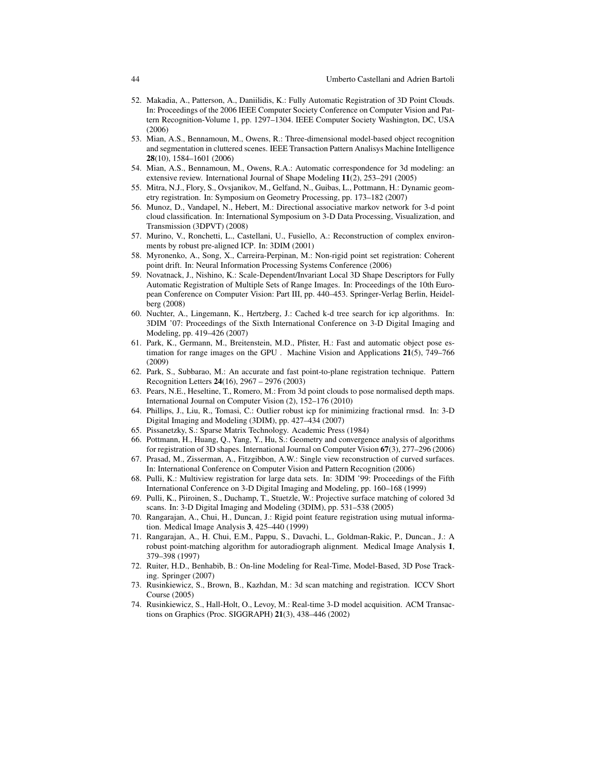- 52. Makadia, A., Patterson, A., Daniilidis, K.: Fully Automatic Registration of 3D Point Clouds. In: Proceedings of the 2006 IEEE Computer Society Conference on Computer Vision and Pattern Recognition-Volume 1, pp. 1297–1304. IEEE Computer Society Washington, DC, USA (2006)
- 53. Mian, A.S., Bennamoun, M., Owens, R.: Three-dimensional model-based object recognition and segmentation in cluttered scenes. IEEE Transaction Pattern Analisys Machine Intelligence 28(10), 1584–1601 (2006)
- 54. Mian, A.S., Bennamoun, M., Owens, R.A.: Automatic correspondence for 3d modeling: an extensive review. International Journal of Shape Modeling 11(2), 253–291 (2005)
- 55. Mitra, N.J., Flory, S., Ovsjanikov, M., Gelfand, N., Guibas, L., Pottmann, H.: Dynamic geometry registration. In: Symposium on Geometry Processing, pp. 173–182 (2007)
- 56. Munoz, D., Vandapel, N., Hebert, M.: Directional associative markov network for 3-d point cloud classification. In: International Symposium on 3-D Data Processing, Visualization, and Transmission (3DPVT) (2008)
- 57. Murino, V., Ronchetti, L., Castellani, U., Fusiello, A.: Reconstruction of complex environments by robust pre-aligned ICP. In: 3DIM (2001)
- 58. Myronenko, A., Song, X., Carreira-Perpinan, M.: Non-rigid point set registration: Coherent point drift. In: Neural Information Processing Systems Conference (2006)
- 59. Novatnack, J., Nishino, K.: Scale-Dependent/Invariant Local 3D Shape Descriptors for Fully Automatic Registration of Multiple Sets of Range Images. In: Proceedings of the 10th European Conference on Computer Vision: Part III, pp. 440–453. Springer-Verlag Berlin, Heidelberg (2008)
- 60. Nuchter, A., Lingemann, K., Hertzberg, J.: Cached k-d tree search for icp algorithms. In: 3DIM '07: Proceedings of the Sixth International Conference on 3-D Digital Imaging and Modeling, pp. 419–426 (2007)
- 61. Park, K., Germann, M., Breitenstein, M.D., Pfister, H.: Fast and automatic object pose estimation for range images on the GPU . Machine Vision and Applications 21(5), 749–766 (2009)
- 62. Park, S., Subbarao, M.: An accurate and fast point-to-plane registration technique. Pattern Recognition Letters 24(16), 2967 – 2976 (2003)
- 63. Pears, N.E., Heseltine, T., Romero, M.: From 3d point clouds to pose normalised depth maps. International Journal on Computer Vision (2), 152–176 (2010)
- 64. Phillips, J., Liu, R., Tomasi, C.: Outlier robust icp for minimizing fractional rmsd. In: 3-D Digital Imaging and Modeling (3DIM), pp. 427–434 (2007)
- 65. Pissanetzky, S.: Sparse Matrix Technology. Academic Press (1984)
- 66. Pottmann, H., Huang, Q., Yang, Y., Hu, S.: Geometry and convergence analysis of algorithms for registration of 3D shapes. International Journal on Computer Vision 67(3), 277–296 (2006)
- 67. Prasad, M., Zisserman, A., Fitzgibbon, A.W.: Single view reconstruction of curved surfaces. In: International Conference on Computer Vision and Pattern Recognition (2006)
- 68. Pulli, K.: Multiview registration for large data sets. In: 3DIM '99: Proceedings of the Fifth International Conference on 3-D Digital Imaging and Modeling, pp. 160–168 (1999)
- 69. Pulli, K., Piiroinen, S., Duchamp, T., Stuetzle, W.: Projective surface matching of colored 3d scans. In: 3-D Digital Imaging and Modeling (3DIM), pp. 531–538 (2005)
- 70. Rangarajan, A., Chui, H., Duncan, J.: Rigid point feature registration using mutual information. Medical Image Analysis 3, 425–440 (1999)
- 71. Rangarajan, A., H. Chui, E.M., Pappu, S., Davachi, L., Goldman-Rakic, P., Duncan., J.: A robust point-matching algorithm for autoradiograph alignment. Medical Image Analysis 1, 379–398 (1997)
- 72. Ruiter, H.D., Benhabib, B.: On-line Modeling for Real-Time, Model-Based, 3D Pose Tracking. Springer (2007)
- 73. Rusinkiewicz, S., Brown, B., Kazhdan, M.: 3d scan matching and registration. ICCV Short Course (2005)
- 74. Rusinkiewicz, S., Hall-Holt, O., Levoy, M.: Real-time 3-D model acquisition. ACM Transactions on Graphics (Proc. SIGGRAPH) 21(3), 438–446 (2002)